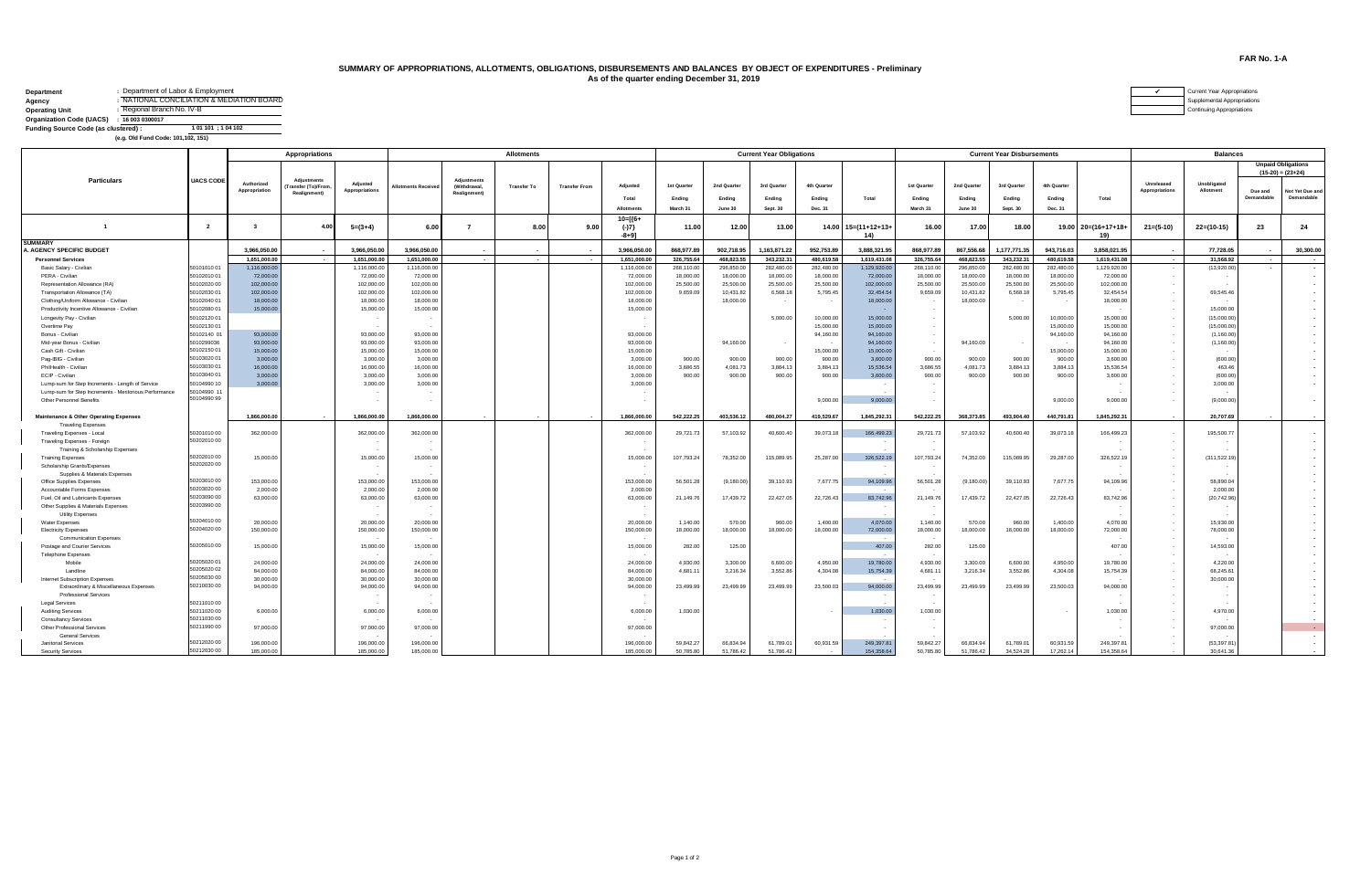## **SUMMARY OF APPROPRIATIONS, ALLOTMENTS, OBLIGATIONS, DISBURSEMENTS AND BALANCES BY OBJECT OF EXPENDITURES - Preliminary As of the quarter ending December 31, 2019**

| Department                                | : Department of Labor & Employment        | urrent Year Appropriations |
|-------------------------------------------|-------------------------------------------|----------------------------|
| Agency                                    | : NATIONAL CONCILIATION & MEDIATION BOARD | upplemental Appropriations |
| <b>Operating Unit</b>                     | : Regional Branch No. IV-B                | ontinuing Appropriations   |
| Organization Code (UACS) : 16 003 0300017 |                                           |                            |
| Funding Source Code (as clustered):       | 1 01 101 ; 1 04 102                       |                            |
|                                           | (e.g. Old Fund Code: 101,102, 151)        |                            |

| Current Year Ap         |  |
|-------------------------|--|
| Supplemental Ap         |  |
| <b>Continuing Appre</b> |  |

| <b>Unpaid Obligations</b><br>$(15-20) = (23+24)$<br><b>Particulars</b><br><b>UACS CODE</b><br><b>Adjustments</b><br><b>Adjustments</b><br>Authorized<br>Unobligated<br>Adjusted<br>Unreleased<br>3rd Quarter<br>1st Quarter<br>1st Quarter<br>2nd Quarter<br>4th Quarter<br>2nd Quarter<br>3rd Quarter<br>4th Quarter<br>Adjusted<br>Transfer (To)/From,<br><b>Allotments Received</b><br>(Withdrawal,<br><b>Transfer To</b><br><b>Transfer From</b><br>Appropriation<br>Appropriations<br><b>Appropriations</b><br>Allotment<br>Due and<br>Not Yet Due and<br><b>Realignment)</b><br><b>Realignment</b><br>Demandable<br>Demandable<br>Total<br>Total<br>Ending<br>Ending<br>Ending<br>Ending<br>Total<br>Ending<br>Ending<br>Ending<br>Ending<br>March 31<br><b>Allotments</b><br>June 30<br><b>Sept. 30</b><br>Dec. 31<br>March 31<br>June 30<br>Dec. 31<br>Sept. 30<br>$10 = 6 +$<br>$\overline{1}$<br>8.00<br>$14.00$ $15=(11+12+13+$<br>16.00<br>17.00<br>18.00<br>$22=(10-15)$<br>23<br>24<br>4.00<br>$5=(3+4)$<br>6.00<br>9.00<br>$(-)7$<br>11.00<br>12.00<br>13.00<br>$19.00$ $20=(16+17+18+$<br>$21=(5-10)$<br>7<br>$\overline{2}$<br>$\mathbf{3}$<br>$-8 + 91$<br>14)<br>19)<br><b>SUMMARY</b><br>A. AGENCY SPECIFIC BUDGET<br>3.966.050.00<br>3.966.050.00<br>3.966.050.00<br>3.966.050.00<br>868,977.89<br>902.718.95<br>1.163.871.22<br>952.753.89<br>3.888.321.95<br>868,977.89<br>867.556.68<br>1.177.771.35<br>943.716.03<br>3.858.021.95<br>77,728.05<br>30,300,00<br>. .<br>. .<br>$\mathbf{r}$<br><b>Personnel Services</b><br>1.651.000.00<br>1.651.000.00<br>1.651.000.00<br>1.651.000.00<br>326,755.64<br>468.823.55<br>343.232.31<br>480.619.58<br>1.619.431.08<br>326,755.64<br>468.823.55<br>343.232.31<br>480.619.58<br>1.619.431.08<br>31,568.92<br>$\sim$<br>$\sim$<br>$\sim$<br>$\sim$<br>$\sim$<br>50101010 01<br>1.116.000.00<br>Basic Salary - Civilian<br>1,116,000.00<br>1,116,000.00<br>1,116,000.00<br>268,110.00<br>296,850.00<br>282.480.00<br>282.480.00<br>1.129.920.00<br>268,110.00<br>296,850.00<br>282.480.00<br>282.480.00<br>1.129.920.00<br>(13,920.00)<br>$\sim$<br>$\sim$<br>PERA - Civilian<br>50102010 01<br>72,000.00<br>72,000.00<br>72,000.00<br>72,000.00<br>18,000.00<br>18,000.00<br>18,000.00<br>18,000.00<br>18,000.00<br>18,000.00<br>18,000.00<br>72,000.00<br>18,000.00<br>72,000.00<br>$\sim$<br>50102020 00<br>102,000.00<br>102,000.00<br>25,500.00<br>25,500.00<br>102,000.00<br>Representation Allowance (RA)<br>102,000.00<br>102,000.00<br>25,500.00<br>25,500.00<br>25,500.00<br>102,000.00<br>25,500.00<br>25,500.00<br>25,500.00<br>$\sim$<br>50102030 01<br>102.000.00<br>102,000.00<br>102,000.00<br>102,000.00<br>9,659.09<br>10,431.82<br>6,568.18<br>5,795.45<br>32,454.54<br>9,659.09<br>10,431.82<br>6,568.18<br>5,795.45<br>32,454.54<br>69,545.46<br>Transportation Allowance (TA)<br>$\sim$ $\sim$<br>50102040 01<br>18,000.00<br>18,000.00<br>18,000.00<br>18,000.00<br>18,000.00<br>18,000.00<br>18,000.00<br>18,000.00<br>Clothing/Uniform Allowance - Civilian<br>$\sim$<br>Productivity Incentive Allowance - Civilian<br>50102080 01<br>15,000.00<br>15,000.00<br>15,000.00<br>15,000.00<br>15,000.00<br>$\sim$<br>. .<br>50102120 01<br>5.000.00<br>10,000.00<br>15,000.00<br>5.000.00<br>10,000.00<br>15,000.00<br>(15.000.00)<br>Longevity Pay - Civilian<br>$\sim$<br>٠.<br>50102130 01<br>15,000.00<br>15,000.00<br>Overtime Pay<br>15,000.00<br>15,000.00<br>(15,000.00)<br>$\sim$<br>. .<br>50102140 01<br>93,000,00<br>93,000.00<br>93,000.00<br>93,000.00<br>94,160.00<br>94,160.00<br>94,160.00<br>94,160.00<br>(1,160.00)<br>Bonus - Civilian<br>$\sim$<br>5010299036<br>93,000.00<br>94,160.00<br>93,000.00<br>93,000.00<br>93,000.00<br>94,160.00<br>94,160.00<br>94,160.00<br>Mid-year Bonus - Civilian<br>(1,160.00)<br>$\sim$<br>50102150 01<br>15,000.00<br>Cash Gift - Civilian<br>15,000.00<br>15,000.00<br>15,000.00<br>15,000.00<br>15,000.00<br>15,000.00<br>15,000.00<br>$\sim$<br>50103020 01<br>Pag-IBIG - Civilian<br>3.000.00<br>3,000.00<br>3,000.00<br>3,000.00<br>900.00<br>900.00<br>3,600.00<br>900.00<br>900.00<br>3,600.00<br>(600.00)<br>900.00<br>900.00<br>900.00<br>900.00<br>$\sim$<br>50103030 01<br>16,000.00<br>3.686.55<br>15.536.5<br>PhilHealth - Civilian<br>16,000.00<br>16,000.00<br>16,000.00<br>3.686.55<br>4.081.73<br>3,884.13<br>3,884.13<br>15,536.54<br>4,081.73<br>3.884.13<br>3,884.13<br>463.46<br>$\sim$<br>50103040 01<br>ECIP - Civilian<br>3,000.00<br>3,000.00<br>3,000.00<br>3,000.00<br>900.00<br>900.00<br>900.00<br>900.00<br>3,600.00<br>900.00<br>900.00<br>900.00<br>900.00<br>3,600.00<br>(600.00<br>50104990 10<br>3,000.00<br>3,000.00<br>3,000.00<br>3,000.00<br>Lump-sum for Step Increments - Length of Service<br>3,000.00<br>50104990 11<br>Lump-sum for Step Increments - Meritorious Performance<br>$\sim$<br>$\sim$<br>50104990 99<br>9,000.00<br>9,000.00<br>9,000.00<br>9,000.00<br>(9.000.00)<br>Other Personnel Benefits<br>$\sim$<br>1.845.292.31<br>20,707.69<br><b>Maintenance &amp; Other Operating Expenses</b><br>1.866.000.00<br>1,866,000.00<br>1,866,000,00<br>1.866.000.00<br>542.222.25<br>403.536.12<br>480.004.27<br>419,529.67<br>1,845,292.31<br>542.222.25<br>368,373,85<br>493.904.40<br>440.791.81<br><b>Traveling Expenses</b><br>5020101000<br>362,000.00<br>362,000.00<br>362,000.00<br>362,000.00<br>39,073.18<br>166,499.23<br>40,600.40<br>166,499.23<br>Traveling Expenses - Local<br>29,721.73<br>57,103.92<br>40,600.40<br>29,721.73<br>57,103.92<br>39,073.18<br>195,500.77<br>$\sim$<br>50202010 00<br>Traveling Expenses - Foreign<br>$\sim$<br>Training & Scholarship Expenses<br>$\sim$<br>50202010 00<br>15,000.00<br>15,000.00<br>15,000.00<br>15,000.00<br>107,793.24<br>115,089.95<br>25,287.00<br>326,522.19<br>107,793.24<br>74,352.00<br>115,089.95<br>326,522.19<br>(311, 522.19)<br><b>Training Expenses</b><br>78,352.00<br>29,287.00<br>$\sim$<br>50202020 00<br>Scholarship Grants/Expenses<br>Supplies & Materials Expenses<br>$\sim$<br>50203010 00<br>153,000.00<br>153,000.00<br>153,000.00<br>153,000.00<br>56,501.28<br>(9.180.00)<br>7.677.75<br>94,109.96<br>56,501.28<br>39.110.93<br>94,109.96<br>58,890.04<br>Office Supplies Expenses<br>39.110.93<br>(9.180.00)<br>7.677.75<br>$\sim$<br>50203020 00<br>2.000.00<br>Accountable Forms Expenses<br>2,000.00<br>2,000.00<br>2.000.00<br>2,000.00<br>50203090 00<br>83.742.96<br>Fuel, Oil and Lubricants Expenses<br>63,000.00<br>63,000.00<br>63,000.00<br>63,000.00<br>21,149.76<br>17,439.72<br>22,427.05<br>22,726.43<br>83,742.96<br>21,149.76<br>17,439.72<br>22.427.05<br>22,726.43<br>(20, 742.96)<br>$\sim$<br>50203990 00<br>Other Supplies & Materials Expenses<br>$\sim$<br>Utility Expenses<br>$\sim$<br>50204010 00<br>20,000.00<br>20,000.00<br>20,000.00<br>20,000.00<br>1,140.00<br>1,400.00<br>4.070.00<br>1,140.00<br>960.00<br>4.070.00<br>15,930.00<br>570.00<br>960.00<br>570.00<br>1,400.00<br>Water Expenses<br>$\sim$<br>50204020 00<br>150,000.00<br><b>Electricity Expenses</b><br>150,000.00<br>150,000.00<br>150,000.00<br>18,000.00<br>18,000.00<br>18,000.00<br>18,000.00<br>72,000.00<br>18,000.00<br>18,000.00<br>18,000.00<br>18,000.00<br>72,000.00<br>78,000.00<br>$\sim$<br><b>Communication Expenses</b><br>$\sim$<br>50205010 00<br>407.00<br>Postage and Courier Services<br>15,000.00<br>15,000.00<br>15,000.00<br>15,000.00<br>282.00<br>125.00<br>407.00<br>282.00<br>125.00<br>14,593.00<br>$\sim$<br><b>Telephone Expenses</b><br>$\sim$<br>50205020 01<br>24,000.00<br>24,000.00<br>24,000.00<br>4.950.00<br>19,780.00<br>4.930.00<br>6,600.00<br>19,780.00<br>4,220.00<br>Mobile<br>24,000.00<br>4.930.00<br>3,300.00<br>6,600.00<br>3,300.00<br>4.950.00<br>$\sim$<br>50205020 02<br>Landline<br>84,000.00<br>84,000.00<br>84,000.00<br>84,000.00<br>4.681.11<br>3,216.34<br>3,552.86<br>4,304.08<br>15,754.39<br>4,681.11<br>3,216.34<br>3,552.86<br>4,304.08<br>15,754.39<br>68,245.61<br>$\sim$<br>50205030 00<br>30,000.00<br>30,000.00<br>30,000.00<br>30,000.00<br>30,000.00<br>Internet Subscription Expenses<br>$\sim$<br>50210030 00<br>94,000.00<br>94,000.00<br>Extraordinary & Miscellaneous Expenses<br>94,000.00<br>94,000.00<br>94,000.00<br>23,499.99<br>23,499.99<br>23,499.99<br>23,500.03<br>94,000.00<br>23,499.99<br>23,499.99<br>23,499.99<br>23,500.03<br>$\sim$<br><b>Professional Services</b><br>5021101000<br><b>Legal Services</b><br>50211020 00<br>6,000.00<br>6,000.00<br>6,000.00<br>6,000.00<br>1,030.00<br>1,030.00<br>1,030.00<br>1,030.00<br>4,970.00<br><b>Auditing Services</b><br>50211030 00<br><b>Consultancy Services</b><br>50211990 00<br>Other Professional Services<br>97,000.00<br>97,000.00<br>97,000.00<br>97,000.00<br>97,000.00<br><b>General Services</b><br>50212020 00<br>196,000.00<br>196,000.00<br>196,000.00<br>59.842.27<br>249.397.81<br>(53,397.81)<br>Janitorial Services<br>196,000,00<br>59.842.27<br>66.834.94<br>61,789.01<br>60.931.59<br>249.397.81<br>66,834.94<br>61.789.01<br>60.931.59<br>$\sim$<br>50212030 00<br>185,000.00<br>185,000.00<br>185,000.00<br>185,000.00<br>50,785.80<br>51,786.42<br>51,786.42<br>154,358.64<br>50,785.80<br>51,786.42<br>34,524.28<br>17,262.14<br>154,358.64<br>30.641.36<br><b>Security Services</b> | <b>Appropriations</b> |  |  |  |  | <b>Allotments</b> |  | <b>Current Year Obligations</b> |  |  |  |  |  | <b>Current Year Disbursements</b> | <b>Balances</b> |  |  |  |  |
|------------------------------------------------------------------------------------------------------------------------------------------------------------------------------------------------------------------------------------------------------------------------------------------------------------------------------------------------------------------------------------------------------------------------------------------------------------------------------------------------------------------------------------------------------------------------------------------------------------------------------------------------------------------------------------------------------------------------------------------------------------------------------------------------------------------------------------------------------------------------------------------------------------------------------------------------------------------------------------------------------------------------------------------------------------------------------------------------------------------------------------------------------------------------------------------------------------------------------------------------------------------------------------------------------------------------------------------------------------------------------------------------------------------------------------------------------------------------------------------------------------------------------------------------------------------------------------------------------------------------------------------------------------------------------------------------------------------------------------------------------------------------------------------------------------------------------------------------------------------------------------------------------------------------------------------------------------------------------------------------------------------------------------------------------------------------------------------------------------------------------------------------------------------------------------------------------------------------------------------------------------------------------------------------------------------------------------------------------------------------------------------------------------------------------------------------------------------------------------------------------------------------------------------------------------------------------------------------------------------------------------------------------------------------------------------------------------------------------------------------------------------------------------------------------------------------------------------------------------------------------------------------------------------------------------------------------------------------------------------------------------------------------------------------------------------------------------------------------------------------------------------------------------------------------------------------------------------------------------------------------------------------------------------------------------------------------------------------------------------------------------------------------------------------------------------------------------------------------------------------------------------------------------------------------------------------------------------------------------------------------------------------------------------------------------------------------------------------------------------------------------------------------------------------------------------------------------------------------------------------------------------------------------------------------------------------------------------------------------------------------------------------------------------------------------------------------------------------------------------------------------------------------------------------------------------------------------------------------------------------------------------------------------------------------------------------------------------------------------------------------------------------------------------------------------------------------------------------------------------------------------------------------------------------------------------------------------------------------------------------------------------------------------------------------------------------------------------------------------------------------------------------------------------------------------------------------------------------------------------------------------------------------------------------------------------------------------------------------------------------------------------------------------------------------------------------------------------------------------------------------------------------------------------------------------------------------------------------------------------------------------------------------------------------------------------------------------------------------------------------------------------------------------------------------------------------------------------------------------------------------------------------------------------------------------------------------------------------------------------------------------------------------------------------------------------------------------------------------------------------------------------------------------------------------------------------------------------------------------------------------------------------------------------------------------------------------------------------------------------------------------------------------------------------------------------------------------------------------------------------------------------------------------------------------------------------------------------------------------------------------------------------------------------------------------------------------------------------------------------------------------------------------------------------------------------------------------------------------------------------------------------------------------------------------------------------------------------------------------------------------------------------------------------------------------------------------------------------------------------------------------------------------------------------------------------------------------------------------------------------------------------------------------------------------------------------------------------------------------------------------------------------------------------------------------------------------------------------------------------------------------------------------------------------------------------------------------------------------------------------------------------------------------------------------------------------------------------------------------------------------------------------------------------------------------------------------------------------------------------------------------------------------------------------------------------------------------------------------------------------------------------------------------------------------------------------------------------------------------------------------------------------------------------------------------------------------------------------------------------------------------------------------------------------------------------------------------------------------------------------------------------------------------------------------------------------------------------------------------------------------------------------------------------------------------------------------------------------------------------------------------------------------------------------------------------------------------------------------------------------------------------------------------------------------------------------------------------------------------------------------------------------------------------------------------------------------------------------------------------------------------------------------------------------------------------------------------------------------------------------------------------------------------------------------------------------------------------------------------------------------------------------------------------------------------------------------------------------------------------------------------------------------------------------------------------------------------------------------------------------------------------------------------------------------------------------------------------------------------------------------------------------------------------------------------------------------------------------------|-----------------------|--|--|--|--|-------------------|--|---------------------------------|--|--|--|--|--|-----------------------------------|-----------------|--|--|--|--|
|                                                                                                                                                                                                                                                                                                                                                                                                                                                                                                                                                                                                                                                                                                                                                                                                                                                                                                                                                                                                                                                                                                                                                                                                                                                                                                                                                                                                                                                                                                                                                                                                                                                                                                                                                                                                                                                                                                                                                                                                                                                                                                                                                                                                                                                                                                                                                                                                                                                                                                                                                                                                                                                                                                                                                                                                                                                                                                                                                                                                                                                                                                                                                                                                                                                                                                                                                                                                                                                                                                                                                                                                                                                                                                                                                                                                                                                                                                                                                                                                                                                                                                                                                                                                                                                                                                                                                                                                                                                                                                                                                                                                                                                                                                                                                                                                                                                                                                                                                                                                                                                                                                                                                                                                                                                                                                                                                                                                                                                                                                                                                                                                                                                                                                                                                                                                                                                                                                                                                                                                                                                                                                                                                                                                                                                                                                                                                                                                                                                                                                                                                                                                                                                                                                                                                                                                                                                                                                                                                                                                                                                                                                                                                                                                                                                                                                                                                                                                                                                                                                                                                                                                                                                                                                                                                                                                                                                                                                                                                                                                                                                                                                                                                                                                                                                                                                                                                                                                                                                                                                                                                                                                                                                                                                                                                                                                                                                                                                                                                                                                                                                                                                                                                                                                                                                                                                                                                      |                       |  |  |  |  |                   |  |                                 |  |  |  |  |  |                                   |                 |  |  |  |  |
|                                                                                                                                                                                                                                                                                                                                                                                                                                                                                                                                                                                                                                                                                                                                                                                                                                                                                                                                                                                                                                                                                                                                                                                                                                                                                                                                                                                                                                                                                                                                                                                                                                                                                                                                                                                                                                                                                                                                                                                                                                                                                                                                                                                                                                                                                                                                                                                                                                                                                                                                                                                                                                                                                                                                                                                                                                                                                                                                                                                                                                                                                                                                                                                                                                                                                                                                                                                                                                                                                                                                                                                                                                                                                                                                                                                                                                                                                                                                                                                                                                                                                                                                                                                                                                                                                                                                                                                                                                                                                                                                                                                                                                                                                                                                                                                                                                                                                                                                                                                                                                                                                                                                                                                                                                                                                                                                                                                                                                                                                                                                                                                                                                                                                                                                                                                                                                                                                                                                                                                                                                                                                                                                                                                                                                                                                                                                                                                                                                                                                                                                                                                                                                                                                                                                                                                                                                                                                                                                                                                                                                                                                                                                                                                                                                                                                                                                                                                                                                                                                                                                                                                                                                                                                                                                                                                                                                                                                                                                                                                                                                                                                                                                                                                                                                                                                                                                                                                                                                                                                                                                                                                                                                                                                                                                                                                                                                                                                                                                                                                                                                                                                                                                                                                                                                                                                                                                                      |                       |  |  |  |  |                   |  |                                 |  |  |  |  |  |                                   |                 |  |  |  |  |
|                                                                                                                                                                                                                                                                                                                                                                                                                                                                                                                                                                                                                                                                                                                                                                                                                                                                                                                                                                                                                                                                                                                                                                                                                                                                                                                                                                                                                                                                                                                                                                                                                                                                                                                                                                                                                                                                                                                                                                                                                                                                                                                                                                                                                                                                                                                                                                                                                                                                                                                                                                                                                                                                                                                                                                                                                                                                                                                                                                                                                                                                                                                                                                                                                                                                                                                                                                                                                                                                                                                                                                                                                                                                                                                                                                                                                                                                                                                                                                                                                                                                                                                                                                                                                                                                                                                                                                                                                                                                                                                                                                                                                                                                                                                                                                                                                                                                                                                                                                                                                                                                                                                                                                                                                                                                                                                                                                                                                                                                                                                                                                                                                                                                                                                                                                                                                                                                                                                                                                                                                                                                                                                                                                                                                                                                                                                                                                                                                                                                                                                                                                                                                                                                                                                                                                                                                                                                                                                                                                                                                                                                                                                                                                                                                                                                                                                                                                                                                                                                                                                                                                                                                                                                                                                                                                                                                                                                                                                                                                                                                                                                                                                                                                                                                                                                                                                                                                                                                                                                                                                                                                                                                                                                                                                                                                                                                                                                                                                                                                                                                                                                                                                                                                                                                                                                                                                                                      |                       |  |  |  |  |                   |  |                                 |  |  |  |  |  |                                   |                 |  |  |  |  |
|                                                                                                                                                                                                                                                                                                                                                                                                                                                                                                                                                                                                                                                                                                                                                                                                                                                                                                                                                                                                                                                                                                                                                                                                                                                                                                                                                                                                                                                                                                                                                                                                                                                                                                                                                                                                                                                                                                                                                                                                                                                                                                                                                                                                                                                                                                                                                                                                                                                                                                                                                                                                                                                                                                                                                                                                                                                                                                                                                                                                                                                                                                                                                                                                                                                                                                                                                                                                                                                                                                                                                                                                                                                                                                                                                                                                                                                                                                                                                                                                                                                                                                                                                                                                                                                                                                                                                                                                                                                                                                                                                                                                                                                                                                                                                                                                                                                                                                                                                                                                                                                                                                                                                                                                                                                                                                                                                                                                                                                                                                                                                                                                                                                                                                                                                                                                                                                                                                                                                                                                                                                                                                                                                                                                                                                                                                                                                                                                                                                                                                                                                                                                                                                                                                                                                                                                                                                                                                                                                                                                                                                                                                                                                                                                                                                                                                                                                                                                                                                                                                                                                                                                                                                                                                                                                                                                                                                                                                                                                                                                                                                                                                                                                                                                                                                                                                                                                                                                                                                                                                                                                                                                                                                                                                                                                                                                                                                                                                                                                                                                                                                                                                                                                                                                                                                                                                                                                      |                       |  |  |  |  |                   |  |                                 |  |  |  |  |  |                                   |                 |  |  |  |  |
|                                                                                                                                                                                                                                                                                                                                                                                                                                                                                                                                                                                                                                                                                                                                                                                                                                                                                                                                                                                                                                                                                                                                                                                                                                                                                                                                                                                                                                                                                                                                                                                                                                                                                                                                                                                                                                                                                                                                                                                                                                                                                                                                                                                                                                                                                                                                                                                                                                                                                                                                                                                                                                                                                                                                                                                                                                                                                                                                                                                                                                                                                                                                                                                                                                                                                                                                                                                                                                                                                                                                                                                                                                                                                                                                                                                                                                                                                                                                                                                                                                                                                                                                                                                                                                                                                                                                                                                                                                                                                                                                                                                                                                                                                                                                                                                                                                                                                                                                                                                                                                                                                                                                                                                                                                                                                                                                                                                                                                                                                                                                                                                                                                                                                                                                                                                                                                                                                                                                                                                                                                                                                                                                                                                                                                                                                                                                                                                                                                                                                                                                                                                                                                                                                                                                                                                                                                                                                                                                                                                                                                                                                                                                                                                                                                                                                                                                                                                                                                                                                                                                                                                                                                                                                                                                                                                                                                                                                                                                                                                                                                                                                                                                                                                                                                                                                                                                                                                                                                                                                                                                                                                                                                                                                                                                                                                                                                                                                                                                                                                                                                                                                                                                                                                                                                                                                                                                                      |                       |  |  |  |  |                   |  |                                 |  |  |  |  |  |                                   |                 |  |  |  |  |
|                                                                                                                                                                                                                                                                                                                                                                                                                                                                                                                                                                                                                                                                                                                                                                                                                                                                                                                                                                                                                                                                                                                                                                                                                                                                                                                                                                                                                                                                                                                                                                                                                                                                                                                                                                                                                                                                                                                                                                                                                                                                                                                                                                                                                                                                                                                                                                                                                                                                                                                                                                                                                                                                                                                                                                                                                                                                                                                                                                                                                                                                                                                                                                                                                                                                                                                                                                                                                                                                                                                                                                                                                                                                                                                                                                                                                                                                                                                                                                                                                                                                                                                                                                                                                                                                                                                                                                                                                                                                                                                                                                                                                                                                                                                                                                                                                                                                                                                                                                                                                                                                                                                                                                                                                                                                                                                                                                                                                                                                                                                                                                                                                                                                                                                                                                                                                                                                                                                                                                                                                                                                                                                                                                                                                                                                                                                                                                                                                                                                                                                                                                                                                                                                                                                                                                                                                                                                                                                                                                                                                                                                                                                                                                                                                                                                                                                                                                                                                                                                                                                                                                                                                                                                                                                                                                                                                                                                                                                                                                                                                                                                                                                                                                                                                                                                                                                                                                                                                                                                                                                                                                                                                                                                                                                                                                                                                                                                                                                                                                                                                                                                                                                                                                                                                                                                                                                                                      |                       |  |  |  |  |                   |  |                                 |  |  |  |  |  |                                   |                 |  |  |  |  |
|                                                                                                                                                                                                                                                                                                                                                                                                                                                                                                                                                                                                                                                                                                                                                                                                                                                                                                                                                                                                                                                                                                                                                                                                                                                                                                                                                                                                                                                                                                                                                                                                                                                                                                                                                                                                                                                                                                                                                                                                                                                                                                                                                                                                                                                                                                                                                                                                                                                                                                                                                                                                                                                                                                                                                                                                                                                                                                                                                                                                                                                                                                                                                                                                                                                                                                                                                                                                                                                                                                                                                                                                                                                                                                                                                                                                                                                                                                                                                                                                                                                                                                                                                                                                                                                                                                                                                                                                                                                                                                                                                                                                                                                                                                                                                                                                                                                                                                                                                                                                                                                                                                                                                                                                                                                                                                                                                                                                                                                                                                                                                                                                                                                                                                                                                                                                                                                                                                                                                                                                                                                                                                                                                                                                                                                                                                                                                                                                                                                                                                                                                                                                                                                                                                                                                                                                                                                                                                                                                                                                                                                                                                                                                                                                                                                                                                                                                                                                                                                                                                                                                                                                                                                                                                                                                                                                                                                                                                                                                                                                                                                                                                                                                                                                                                                                                                                                                                                                                                                                                                                                                                                                                                                                                                                                                                                                                                                                                                                                                                                                                                                                                                                                                                                                                                                                                                                                                      |                       |  |  |  |  |                   |  |                                 |  |  |  |  |  |                                   |                 |  |  |  |  |
|                                                                                                                                                                                                                                                                                                                                                                                                                                                                                                                                                                                                                                                                                                                                                                                                                                                                                                                                                                                                                                                                                                                                                                                                                                                                                                                                                                                                                                                                                                                                                                                                                                                                                                                                                                                                                                                                                                                                                                                                                                                                                                                                                                                                                                                                                                                                                                                                                                                                                                                                                                                                                                                                                                                                                                                                                                                                                                                                                                                                                                                                                                                                                                                                                                                                                                                                                                                                                                                                                                                                                                                                                                                                                                                                                                                                                                                                                                                                                                                                                                                                                                                                                                                                                                                                                                                                                                                                                                                                                                                                                                                                                                                                                                                                                                                                                                                                                                                                                                                                                                                                                                                                                                                                                                                                                                                                                                                                                                                                                                                                                                                                                                                                                                                                                                                                                                                                                                                                                                                                                                                                                                                                                                                                                                                                                                                                                                                                                                                                                                                                                                                                                                                                                                                                                                                                                                                                                                                                                                                                                                                                                                                                                                                                                                                                                                                                                                                                                                                                                                                                                                                                                                                                                                                                                                                                                                                                                                                                                                                                                                                                                                                                                                                                                                                                                                                                                                                                                                                                                                                                                                                                                                                                                                                                                                                                                                                                                                                                                                                                                                                                                                                                                                                                                                                                                                                                                      |                       |  |  |  |  |                   |  |                                 |  |  |  |  |  |                                   |                 |  |  |  |  |
|                                                                                                                                                                                                                                                                                                                                                                                                                                                                                                                                                                                                                                                                                                                                                                                                                                                                                                                                                                                                                                                                                                                                                                                                                                                                                                                                                                                                                                                                                                                                                                                                                                                                                                                                                                                                                                                                                                                                                                                                                                                                                                                                                                                                                                                                                                                                                                                                                                                                                                                                                                                                                                                                                                                                                                                                                                                                                                                                                                                                                                                                                                                                                                                                                                                                                                                                                                                                                                                                                                                                                                                                                                                                                                                                                                                                                                                                                                                                                                                                                                                                                                                                                                                                                                                                                                                                                                                                                                                                                                                                                                                                                                                                                                                                                                                                                                                                                                                                                                                                                                                                                                                                                                                                                                                                                                                                                                                                                                                                                                                                                                                                                                                                                                                                                                                                                                                                                                                                                                                                                                                                                                                                                                                                                                                                                                                                                                                                                                                                                                                                                                                                                                                                                                                                                                                                                                                                                                                                                                                                                                                                                                                                                                                                                                                                                                                                                                                                                                                                                                                                                                                                                                                                                                                                                                                                                                                                                                                                                                                                                                                                                                                                                                                                                                                                                                                                                                                                                                                                                                                                                                                                                                                                                                                                                                                                                                                                                                                                                                                                                                                                                                                                                                                                                                                                                                                                                      |                       |  |  |  |  |                   |  |                                 |  |  |  |  |  |                                   |                 |  |  |  |  |
|                                                                                                                                                                                                                                                                                                                                                                                                                                                                                                                                                                                                                                                                                                                                                                                                                                                                                                                                                                                                                                                                                                                                                                                                                                                                                                                                                                                                                                                                                                                                                                                                                                                                                                                                                                                                                                                                                                                                                                                                                                                                                                                                                                                                                                                                                                                                                                                                                                                                                                                                                                                                                                                                                                                                                                                                                                                                                                                                                                                                                                                                                                                                                                                                                                                                                                                                                                                                                                                                                                                                                                                                                                                                                                                                                                                                                                                                                                                                                                                                                                                                                                                                                                                                                                                                                                                                                                                                                                                                                                                                                                                                                                                                                                                                                                                                                                                                                                                                                                                                                                                                                                                                                                                                                                                                                                                                                                                                                                                                                                                                                                                                                                                                                                                                                                                                                                                                                                                                                                                                                                                                                                                                                                                                                                                                                                                                                                                                                                                                                                                                                                                                                                                                                                                                                                                                                                                                                                                                                                                                                                                                                                                                                                                                                                                                                                                                                                                                                                                                                                                                                                                                                                                                                                                                                                                                                                                                                                                                                                                                                                                                                                                                                                                                                                                                                                                                                                                                                                                                                                                                                                                                                                                                                                                                                                                                                                                                                                                                                                                                                                                                                                                                                                                                                                                                                                                                                      |                       |  |  |  |  |                   |  |                                 |  |  |  |  |  |                                   |                 |  |  |  |  |
|                                                                                                                                                                                                                                                                                                                                                                                                                                                                                                                                                                                                                                                                                                                                                                                                                                                                                                                                                                                                                                                                                                                                                                                                                                                                                                                                                                                                                                                                                                                                                                                                                                                                                                                                                                                                                                                                                                                                                                                                                                                                                                                                                                                                                                                                                                                                                                                                                                                                                                                                                                                                                                                                                                                                                                                                                                                                                                                                                                                                                                                                                                                                                                                                                                                                                                                                                                                                                                                                                                                                                                                                                                                                                                                                                                                                                                                                                                                                                                                                                                                                                                                                                                                                                                                                                                                                                                                                                                                                                                                                                                                                                                                                                                                                                                                                                                                                                                                                                                                                                                                                                                                                                                                                                                                                                                                                                                                                                                                                                                                                                                                                                                                                                                                                                                                                                                                                                                                                                                                                                                                                                                                                                                                                                                                                                                                                                                                                                                                                                                                                                                                                                                                                                                                                                                                                                                                                                                                                                                                                                                                                                                                                                                                                                                                                                                                                                                                                                                                                                                                                                                                                                                                                                                                                                                                                                                                                                                                                                                                                                                                                                                                                                                                                                                                                                                                                                                                                                                                                                                                                                                                                                                                                                                                                                                                                                                                                                                                                                                                                                                                                                                                                                                                                                                                                                                                                                      |                       |  |  |  |  |                   |  |                                 |  |  |  |  |  |                                   |                 |  |  |  |  |
|                                                                                                                                                                                                                                                                                                                                                                                                                                                                                                                                                                                                                                                                                                                                                                                                                                                                                                                                                                                                                                                                                                                                                                                                                                                                                                                                                                                                                                                                                                                                                                                                                                                                                                                                                                                                                                                                                                                                                                                                                                                                                                                                                                                                                                                                                                                                                                                                                                                                                                                                                                                                                                                                                                                                                                                                                                                                                                                                                                                                                                                                                                                                                                                                                                                                                                                                                                                                                                                                                                                                                                                                                                                                                                                                                                                                                                                                                                                                                                                                                                                                                                                                                                                                                                                                                                                                                                                                                                                                                                                                                                                                                                                                                                                                                                                                                                                                                                                                                                                                                                                                                                                                                                                                                                                                                                                                                                                                                                                                                                                                                                                                                                                                                                                                                                                                                                                                                                                                                                                                                                                                                                                                                                                                                                                                                                                                                                                                                                                                                                                                                                                                                                                                                                                                                                                                                                                                                                                                                                                                                                                                                                                                                                                                                                                                                                                                                                                                                                                                                                                                                                                                                                                                                                                                                                                                                                                                                                                                                                                                                                                                                                                                                                                                                                                                                                                                                                                                                                                                                                                                                                                                                                                                                                                                                                                                                                                                                                                                                                                                                                                                                                                                                                                                                                                                                                                                                      |                       |  |  |  |  |                   |  |                                 |  |  |  |  |  |                                   |                 |  |  |  |  |
|                                                                                                                                                                                                                                                                                                                                                                                                                                                                                                                                                                                                                                                                                                                                                                                                                                                                                                                                                                                                                                                                                                                                                                                                                                                                                                                                                                                                                                                                                                                                                                                                                                                                                                                                                                                                                                                                                                                                                                                                                                                                                                                                                                                                                                                                                                                                                                                                                                                                                                                                                                                                                                                                                                                                                                                                                                                                                                                                                                                                                                                                                                                                                                                                                                                                                                                                                                                                                                                                                                                                                                                                                                                                                                                                                                                                                                                                                                                                                                                                                                                                                                                                                                                                                                                                                                                                                                                                                                                                                                                                                                                                                                                                                                                                                                                                                                                                                                                                                                                                                                                                                                                                                                                                                                                                                                                                                                                                                                                                                                                                                                                                                                                                                                                                                                                                                                                                                                                                                                                                                                                                                                                                                                                                                                                                                                                                                                                                                                                                                                                                                                                                                                                                                                                                                                                                                                                                                                                                                                                                                                                                                                                                                                                                                                                                                                                                                                                                                                                                                                                                                                                                                                                                                                                                                                                                                                                                                                                                                                                                                                                                                                                                                                                                                                                                                                                                                                                                                                                                                                                                                                                                                                                                                                                                                                                                                                                                                                                                                                                                                                                                                                                                                                                                                                                                                                                                                      |                       |  |  |  |  |                   |  |                                 |  |  |  |  |  |                                   |                 |  |  |  |  |
|                                                                                                                                                                                                                                                                                                                                                                                                                                                                                                                                                                                                                                                                                                                                                                                                                                                                                                                                                                                                                                                                                                                                                                                                                                                                                                                                                                                                                                                                                                                                                                                                                                                                                                                                                                                                                                                                                                                                                                                                                                                                                                                                                                                                                                                                                                                                                                                                                                                                                                                                                                                                                                                                                                                                                                                                                                                                                                                                                                                                                                                                                                                                                                                                                                                                                                                                                                                                                                                                                                                                                                                                                                                                                                                                                                                                                                                                                                                                                                                                                                                                                                                                                                                                                                                                                                                                                                                                                                                                                                                                                                                                                                                                                                                                                                                                                                                                                                                                                                                                                                                                                                                                                                                                                                                                                                                                                                                                                                                                                                                                                                                                                                                                                                                                                                                                                                                                                                                                                                                                                                                                                                                                                                                                                                                                                                                                                                                                                                                                                                                                                                                                                                                                                                                                                                                                                                                                                                                                                                                                                                                                                                                                                                                                                                                                                                                                                                                                                                                                                                                                                                                                                                                                                                                                                                                                                                                                                                                                                                                                                                                                                                                                                                                                                                                                                                                                                                                                                                                                                                                                                                                                                                                                                                                                                                                                                                                                                                                                                                                                                                                                                                                                                                                                                                                                                                                                                      |                       |  |  |  |  |                   |  |                                 |  |  |  |  |  |                                   |                 |  |  |  |  |
|                                                                                                                                                                                                                                                                                                                                                                                                                                                                                                                                                                                                                                                                                                                                                                                                                                                                                                                                                                                                                                                                                                                                                                                                                                                                                                                                                                                                                                                                                                                                                                                                                                                                                                                                                                                                                                                                                                                                                                                                                                                                                                                                                                                                                                                                                                                                                                                                                                                                                                                                                                                                                                                                                                                                                                                                                                                                                                                                                                                                                                                                                                                                                                                                                                                                                                                                                                                                                                                                                                                                                                                                                                                                                                                                                                                                                                                                                                                                                                                                                                                                                                                                                                                                                                                                                                                                                                                                                                                                                                                                                                                                                                                                                                                                                                                                                                                                                                                                                                                                                                                                                                                                                                                                                                                                                                                                                                                                                                                                                                                                                                                                                                                                                                                                                                                                                                                                                                                                                                                                                                                                                                                                                                                                                                                                                                                                                                                                                                                                                                                                                                                                                                                                                                                                                                                                                                                                                                                                                                                                                                                                                                                                                                                                                                                                                                                                                                                                                                                                                                                                                                                                                                                                                                                                                                                                                                                                                                                                                                                                                                                                                                                                                                                                                                                                                                                                                                                                                                                                                                                                                                                                                                                                                                                                                                                                                                                                                                                                                                                                                                                                                                                                                                                                                                                                                                                                                      |                       |  |  |  |  |                   |  |                                 |  |  |  |  |  |                                   |                 |  |  |  |  |
|                                                                                                                                                                                                                                                                                                                                                                                                                                                                                                                                                                                                                                                                                                                                                                                                                                                                                                                                                                                                                                                                                                                                                                                                                                                                                                                                                                                                                                                                                                                                                                                                                                                                                                                                                                                                                                                                                                                                                                                                                                                                                                                                                                                                                                                                                                                                                                                                                                                                                                                                                                                                                                                                                                                                                                                                                                                                                                                                                                                                                                                                                                                                                                                                                                                                                                                                                                                                                                                                                                                                                                                                                                                                                                                                                                                                                                                                                                                                                                                                                                                                                                                                                                                                                                                                                                                                                                                                                                                                                                                                                                                                                                                                                                                                                                                                                                                                                                                                                                                                                                                                                                                                                                                                                                                                                                                                                                                                                                                                                                                                                                                                                                                                                                                                                                                                                                                                                                                                                                                                                                                                                                                                                                                                                                                                                                                                                                                                                                                                                                                                                                                                                                                                                                                                                                                                                                                                                                                                                                                                                                                                                                                                                                                                                                                                                                                                                                                                                                                                                                                                                                                                                                                                                                                                                                                                                                                                                                                                                                                                                                                                                                                                                                                                                                                                                                                                                                                                                                                                                                                                                                                                                                                                                                                                                                                                                                                                                                                                                                                                                                                                                                                                                                                                                                                                                                                                                      |                       |  |  |  |  |                   |  |                                 |  |  |  |  |  |                                   |                 |  |  |  |  |
|                                                                                                                                                                                                                                                                                                                                                                                                                                                                                                                                                                                                                                                                                                                                                                                                                                                                                                                                                                                                                                                                                                                                                                                                                                                                                                                                                                                                                                                                                                                                                                                                                                                                                                                                                                                                                                                                                                                                                                                                                                                                                                                                                                                                                                                                                                                                                                                                                                                                                                                                                                                                                                                                                                                                                                                                                                                                                                                                                                                                                                                                                                                                                                                                                                                                                                                                                                                                                                                                                                                                                                                                                                                                                                                                                                                                                                                                                                                                                                                                                                                                                                                                                                                                                                                                                                                                                                                                                                                                                                                                                                                                                                                                                                                                                                                                                                                                                                                                                                                                                                                                                                                                                                                                                                                                                                                                                                                                                                                                                                                                                                                                                                                                                                                                                                                                                                                                                                                                                                                                                                                                                                                                                                                                                                                                                                                                                                                                                                                                                                                                                                                                                                                                                                                                                                                                                                                                                                                                                                                                                                                                                                                                                                                                                                                                                                                                                                                                                                                                                                                                                                                                                                                                                                                                                                                                                                                                                                                                                                                                                                                                                                                                                                                                                                                                                                                                                                                                                                                                                                                                                                                                                                                                                                                                                                                                                                                                                                                                                                                                                                                                                                                                                                                                                                                                                                                                                      |                       |  |  |  |  |                   |  |                                 |  |  |  |  |  |                                   |                 |  |  |  |  |
|                                                                                                                                                                                                                                                                                                                                                                                                                                                                                                                                                                                                                                                                                                                                                                                                                                                                                                                                                                                                                                                                                                                                                                                                                                                                                                                                                                                                                                                                                                                                                                                                                                                                                                                                                                                                                                                                                                                                                                                                                                                                                                                                                                                                                                                                                                                                                                                                                                                                                                                                                                                                                                                                                                                                                                                                                                                                                                                                                                                                                                                                                                                                                                                                                                                                                                                                                                                                                                                                                                                                                                                                                                                                                                                                                                                                                                                                                                                                                                                                                                                                                                                                                                                                                                                                                                                                                                                                                                                                                                                                                                                                                                                                                                                                                                                                                                                                                                                                                                                                                                                                                                                                                                                                                                                                                                                                                                                                                                                                                                                                                                                                                                                                                                                                                                                                                                                                                                                                                                                                                                                                                                                                                                                                                                                                                                                                                                                                                                                                                                                                                                                                                                                                                                                                                                                                                                                                                                                                                                                                                                                                                                                                                                                                                                                                                                                                                                                                                                                                                                                                                                                                                                                                                                                                                                                                                                                                                                                                                                                                                                                                                                                                                                                                                                                                                                                                                                                                                                                                                                                                                                                                                                                                                                                                                                                                                                                                                                                                                                                                                                                                                                                                                                                                                                                                                                                                                      |                       |  |  |  |  |                   |  |                                 |  |  |  |  |  |                                   |                 |  |  |  |  |
|                                                                                                                                                                                                                                                                                                                                                                                                                                                                                                                                                                                                                                                                                                                                                                                                                                                                                                                                                                                                                                                                                                                                                                                                                                                                                                                                                                                                                                                                                                                                                                                                                                                                                                                                                                                                                                                                                                                                                                                                                                                                                                                                                                                                                                                                                                                                                                                                                                                                                                                                                                                                                                                                                                                                                                                                                                                                                                                                                                                                                                                                                                                                                                                                                                                                                                                                                                                                                                                                                                                                                                                                                                                                                                                                                                                                                                                                                                                                                                                                                                                                                                                                                                                                                                                                                                                                                                                                                                                                                                                                                                                                                                                                                                                                                                                                                                                                                                                                                                                                                                                                                                                                                                                                                                                                                                                                                                                                                                                                                                                                                                                                                                                                                                                                                                                                                                                                                                                                                                                                                                                                                                                                                                                                                                                                                                                                                                                                                                                                                                                                                                                                                                                                                                                                                                                                                                                                                                                                                                                                                                                                                                                                                                                                                                                                                                                                                                                                                                                                                                                                                                                                                                                                                                                                                                                                                                                                                                                                                                                                                                                                                                                                                                                                                                                                                                                                                                                                                                                                                                                                                                                                                                                                                                                                                                                                                                                                                                                                                                                                                                                                                                                                                                                                                                                                                                                                                      |                       |  |  |  |  |                   |  |                                 |  |  |  |  |  |                                   |                 |  |  |  |  |
|                                                                                                                                                                                                                                                                                                                                                                                                                                                                                                                                                                                                                                                                                                                                                                                                                                                                                                                                                                                                                                                                                                                                                                                                                                                                                                                                                                                                                                                                                                                                                                                                                                                                                                                                                                                                                                                                                                                                                                                                                                                                                                                                                                                                                                                                                                                                                                                                                                                                                                                                                                                                                                                                                                                                                                                                                                                                                                                                                                                                                                                                                                                                                                                                                                                                                                                                                                                                                                                                                                                                                                                                                                                                                                                                                                                                                                                                                                                                                                                                                                                                                                                                                                                                                                                                                                                                                                                                                                                                                                                                                                                                                                                                                                                                                                                                                                                                                                                                                                                                                                                                                                                                                                                                                                                                                                                                                                                                                                                                                                                                                                                                                                                                                                                                                                                                                                                                                                                                                                                                                                                                                                                                                                                                                                                                                                                                                                                                                                                                                                                                                                                                                                                                                                                                                                                                                                                                                                                                                                                                                                                                                                                                                                                                                                                                                                                                                                                                                                                                                                                                                                                                                                                                                                                                                                                                                                                                                                                                                                                                                                                                                                                                                                                                                                                                                                                                                                                                                                                                                                                                                                                                                                                                                                                                                                                                                                                                                                                                                                                                                                                                                                                                                                                                                                                                                                                                                      |                       |  |  |  |  |                   |  |                                 |  |  |  |  |  |                                   |                 |  |  |  |  |
|                                                                                                                                                                                                                                                                                                                                                                                                                                                                                                                                                                                                                                                                                                                                                                                                                                                                                                                                                                                                                                                                                                                                                                                                                                                                                                                                                                                                                                                                                                                                                                                                                                                                                                                                                                                                                                                                                                                                                                                                                                                                                                                                                                                                                                                                                                                                                                                                                                                                                                                                                                                                                                                                                                                                                                                                                                                                                                                                                                                                                                                                                                                                                                                                                                                                                                                                                                                                                                                                                                                                                                                                                                                                                                                                                                                                                                                                                                                                                                                                                                                                                                                                                                                                                                                                                                                                                                                                                                                                                                                                                                                                                                                                                                                                                                                                                                                                                                                                                                                                                                                                                                                                                                                                                                                                                                                                                                                                                                                                                                                                                                                                                                                                                                                                                                                                                                                                                                                                                                                                                                                                                                                                                                                                                                                                                                                                                                                                                                                                                                                                                                                                                                                                                                                                                                                                                                                                                                                                                                                                                                                                                                                                                                                                                                                                                                                                                                                                                                                                                                                                                                                                                                                                                                                                                                                                                                                                                                                                                                                                                                                                                                                                                                                                                                                                                                                                                                                                                                                                                                                                                                                                                                                                                                                                                                                                                                                                                                                                                                                                                                                                                                                                                                                                                                                                                                                                                      |                       |  |  |  |  |                   |  |                                 |  |  |  |  |  |                                   |                 |  |  |  |  |
|                                                                                                                                                                                                                                                                                                                                                                                                                                                                                                                                                                                                                                                                                                                                                                                                                                                                                                                                                                                                                                                                                                                                                                                                                                                                                                                                                                                                                                                                                                                                                                                                                                                                                                                                                                                                                                                                                                                                                                                                                                                                                                                                                                                                                                                                                                                                                                                                                                                                                                                                                                                                                                                                                                                                                                                                                                                                                                                                                                                                                                                                                                                                                                                                                                                                                                                                                                                                                                                                                                                                                                                                                                                                                                                                                                                                                                                                                                                                                                                                                                                                                                                                                                                                                                                                                                                                                                                                                                                                                                                                                                                                                                                                                                                                                                                                                                                                                                                                                                                                                                                                                                                                                                                                                                                                                                                                                                                                                                                                                                                                                                                                                                                                                                                                                                                                                                                                                                                                                                                                                                                                                                                                                                                                                                                                                                                                                                                                                                                                                                                                                                                                                                                                                                                                                                                                                                                                                                                                                                                                                                                                                                                                                                                                                                                                                                                                                                                                                                                                                                                                                                                                                                                                                                                                                                                                                                                                                                                                                                                                                                                                                                                                                                                                                                                                                                                                                                                                                                                                                                                                                                                                                                                                                                                                                                                                                                                                                                                                                                                                                                                                                                                                                                                                                                                                                                                                                      |                       |  |  |  |  |                   |  |                                 |  |  |  |  |  |                                   |                 |  |  |  |  |
|                                                                                                                                                                                                                                                                                                                                                                                                                                                                                                                                                                                                                                                                                                                                                                                                                                                                                                                                                                                                                                                                                                                                                                                                                                                                                                                                                                                                                                                                                                                                                                                                                                                                                                                                                                                                                                                                                                                                                                                                                                                                                                                                                                                                                                                                                                                                                                                                                                                                                                                                                                                                                                                                                                                                                                                                                                                                                                                                                                                                                                                                                                                                                                                                                                                                                                                                                                                                                                                                                                                                                                                                                                                                                                                                                                                                                                                                                                                                                                                                                                                                                                                                                                                                                                                                                                                                                                                                                                                                                                                                                                                                                                                                                                                                                                                                                                                                                                                                                                                                                                                                                                                                                                                                                                                                                                                                                                                                                                                                                                                                                                                                                                                                                                                                                                                                                                                                                                                                                                                                                                                                                                                                                                                                                                                                                                                                                                                                                                                                                                                                                                                                                                                                                                                                                                                                                                                                                                                                                                                                                                                                                                                                                                                                                                                                                                                                                                                                                                                                                                                                                                                                                                                                                                                                                                                                                                                                                                                                                                                                                                                                                                                                                                                                                                                                                                                                                                                                                                                                                                                                                                                                                                                                                                                                                                                                                                                                                                                                                                                                                                                                                                                                                                                                                                                                                                                                                      |                       |  |  |  |  |                   |  |                                 |  |  |  |  |  |                                   |                 |  |  |  |  |
|                                                                                                                                                                                                                                                                                                                                                                                                                                                                                                                                                                                                                                                                                                                                                                                                                                                                                                                                                                                                                                                                                                                                                                                                                                                                                                                                                                                                                                                                                                                                                                                                                                                                                                                                                                                                                                                                                                                                                                                                                                                                                                                                                                                                                                                                                                                                                                                                                                                                                                                                                                                                                                                                                                                                                                                                                                                                                                                                                                                                                                                                                                                                                                                                                                                                                                                                                                                                                                                                                                                                                                                                                                                                                                                                                                                                                                                                                                                                                                                                                                                                                                                                                                                                                                                                                                                                                                                                                                                                                                                                                                                                                                                                                                                                                                                                                                                                                                                                                                                                                                                                                                                                                                                                                                                                                                                                                                                                                                                                                                                                                                                                                                                                                                                                                                                                                                                                                                                                                                                                                                                                                                                                                                                                                                                                                                                                                                                                                                                                                                                                                                                                                                                                                                                                                                                                                                                                                                                                                                                                                                                                                                                                                                                                                                                                                                                                                                                                                                                                                                                                                                                                                                                                                                                                                                                                                                                                                                                                                                                                                                                                                                                                                                                                                                                                                                                                                                                                                                                                                                                                                                                                                                                                                                                                                                                                                                                                                                                                                                                                                                                                                                                                                                                                                                                                                                                                                      |                       |  |  |  |  |                   |  |                                 |  |  |  |  |  |                                   |                 |  |  |  |  |
|                                                                                                                                                                                                                                                                                                                                                                                                                                                                                                                                                                                                                                                                                                                                                                                                                                                                                                                                                                                                                                                                                                                                                                                                                                                                                                                                                                                                                                                                                                                                                                                                                                                                                                                                                                                                                                                                                                                                                                                                                                                                                                                                                                                                                                                                                                                                                                                                                                                                                                                                                                                                                                                                                                                                                                                                                                                                                                                                                                                                                                                                                                                                                                                                                                                                                                                                                                                                                                                                                                                                                                                                                                                                                                                                                                                                                                                                                                                                                                                                                                                                                                                                                                                                                                                                                                                                                                                                                                                                                                                                                                                                                                                                                                                                                                                                                                                                                                                                                                                                                                                                                                                                                                                                                                                                                                                                                                                                                                                                                                                                                                                                                                                                                                                                                                                                                                                                                                                                                                                                                                                                                                                                                                                                                                                                                                                                                                                                                                                                                                                                                                                                                                                                                                                                                                                                                                                                                                                                                                                                                                                                                                                                                                                                                                                                                                                                                                                                                                                                                                                                                                                                                                                                                                                                                                                                                                                                                                                                                                                                                                                                                                                                                                                                                                                                                                                                                                                                                                                                                                                                                                                                                                                                                                                                                                                                                                                                                                                                                                                                                                                                                                                                                                                                                                                                                                                                                      |                       |  |  |  |  |                   |  |                                 |  |  |  |  |  |                                   |                 |  |  |  |  |
|                                                                                                                                                                                                                                                                                                                                                                                                                                                                                                                                                                                                                                                                                                                                                                                                                                                                                                                                                                                                                                                                                                                                                                                                                                                                                                                                                                                                                                                                                                                                                                                                                                                                                                                                                                                                                                                                                                                                                                                                                                                                                                                                                                                                                                                                                                                                                                                                                                                                                                                                                                                                                                                                                                                                                                                                                                                                                                                                                                                                                                                                                                                                                                                                                                                                                                                                                                                                                                                                                                                                                                                                                                                                                                                                                                                                                                                                                                                                                                                                                                                                                                                                                                                                                                                                                                                                                                                                                                                                                                                                                                                                                                                                                                                                                                                                                                                                                                                                                                                                                                                                                                                                                                                                                                                                                                                                                                                                                                                                                                                                                                                                                                                                                                                                                                                                                                                                                                                                                                                                                                                                                                                                                                                                                                                                                                                                                                                                                                                                                                                                                                                                                                                                                                                                                                                                                                                                                                                                                                                                                                                                                                                                                                                                                                                                                                                                                                                                                                                                                                                                                                                                                                                                                                                                                                                                                                                                                                                                                                                                                                                                                                                                                                                                                                                                                                                                                                                                                                                                                                                                                                                                                                                                                                                                                                                                                                                                                                                                                                                                                                                                                                                                                                                                                                                                                                                                                      |                       |  |  |  |  |                   |  |                                 |  |  |  |  |  |                                   |                 |  |  |  |  |
|                                                                                                                                                                                                                                                                                                                                                                                                                                                                                                                                                                                                                                                                                                                                                                                                                                                                                                                                                                                                                                                                                                                                                                                                                                                                                                                                                                                                                                                                                                                                                                                                                                                                                                                                                                                                                                                                                                                                                                                                                                                                                                                                                                                                                                                                                                                                                                                                                                                                                                                                                                                                                                                                                                                                                                                                                                                                                                                                                                                                                                                                                                                                                                                                                                                                                                                                                                                                                                                                                                                                                                                                                                                                                                                                                                                                                                                                                                                                                                                                                                                                                                                                                                                                                                                                                                                                                                                                                                                                                                                                                                                                                                                                                                                                                                                                                                                                                                                                                                                                                                                                                                                                                                                                                                                                                                                                                                                                                                                                                                                                                                                                                                                                                                                                                                                                                                                                                                                                                                                                                                                                                                                                                                                                                                                                                                                                                                                                                                                                                                                                                                                                                                                                                                                                                                                                                                                                                                                                                                                                                                                                                                                                                                                                                                                                                                                                                                                                                                                                                                                                                                                                                                                                                                                                                                                                                                                                                                                                                                                                                                                                                                                                                                                                                                                                                                                                                                                                                                                                                                                                                                                                                                                                                                                                                                                                                                                                                                                                                                                                                                                                                                                                                                                                                                                                                                                                                      |                       |  |  |  |  |                   |  |                                 |  |  |  |  |  |                                   |                 |  |  |  |  |
|                                                                                                                                                                                                                                                                                                                                                                                                                                                                                                                                                                                                                                                                                                                                                                                                                                                                                                                                                                                                                                                                                                                                                                                                                                                                                                                                                                                                                                                                                                                                                                                                                                                                                                                                                                                                                                                                                                                                                                                                                                                                                                                                                                                                                                                                                                                                                                                                                                                                                                                                                                                                                                                                                                                                                                                                                                                                                                                                                                                                                                                                                                                                                                                                                                                                                                                                                                                                                                                                                                                                                                                                                                                                                                                                                                                                                                                                                                                                                                                                                                                                                                                                                                                                                                                                                                                                                                                                                                                                                                                                                                                                                                                                                                                                                                                                                                                                                                                                                                                                                                                                                                                                                                                                                                                                                                                                                                                                                                                                                                                                                                                                                                                                                                                                                                                                                                                                                                                                                                                                                                                                                                                                                                                                                                                                                                                                                                                                                                                                                                                                                                                                                                                                                                                                                                                                                                                                                                                                                                                                                                                                                                                                                                                                                                                                                                                                                                                                                                                                                                                                                                                                                                                                                                                                                                                                                                                                                                                                                                                                                                                                                                                                                                                                                                                                                                                                                                                                                                                                                                                                                                                                                                                                                                                                                                                                                                                                                                                                                                                                                                                                                                                                                                                                                                                                                                                                                      |                       |  |  |  |  |                   |  |                                 |  |  |  |  |  |                                   |                 |  |  |  |  |
|                                                                                                                                                                                                                                                                                                                                                                                                                                                                                                                                                                                                                                                                                                                                                                                                                                                                                                                                                                                                                                                                                                                                                                                                                                                                                                                                                                                                                                                                                                                                                                                                                                                                                                                                                                                                                                                                                                                                                                                                                                                                                                                                                                                                                                                                                                                                                                                                                                                                                                                                                                                                                                                                                                                                                                                                                                                                                                                                                                                                                                                                                                                                                                                                                                                                                                                                                                                                                                                                                                                                                                                                                                                                                                                                                                                                                                                                                                                                                                                                                                                                                                                                                                                                                                                                                                                                                                                                                                                                                                                                                                                                                                                                                                                                                                                                                                                                                                                                                                                                                                                                                                                                                                                                                                                                                                                                                                                                                                                                                                                                                                                                                                                                                                                                                                                                                                                                                                                                                                                                                                                                                                                                                                                                                                                                                                                                                                                                                                                                                                                                                                                                                                                                                                                                                                                                                                                                                                                                                                                                                                                                                                                                                                                                                                                                                                                                                                                                                                                                                                                                                                                                                                                                                                                                                                                                                                                                                                                                                                                                                                                                                                                                                                                                                                                                                                                                                                                                                                                                                                                                                                                                                                                                                                                                                                                                                                                                                                                                                                                                                                                                                                                                                                                                                                                                                                                                                      |                       |  |  |  |  |                   |  |                                 |  |  |  |  |  |                                   |                 |  |  |  |  |
|                                                                                                                                                                                                                                                                                                                                                                                                                                                                                                                                                                                                                                                                                                                                                                                                                                                                                                                                                                                                                                                                                                                                                                                                                                                                                                                                                                                                                                                                                                                                                                                                                                                                                                                                                                                                                                                                                                                                                                                                                                                                                                                                                                                                                                                                                                                                                                                                                                                                                                                                                                                                                                                                                                                                                                                                                                                                                                                                                                                                                                                                                                                                                                                                                                                                                                                                                                                                                                                                                                                                                                                                                                                                                                                                                                                                                                                                                                                                                                                                                                                                                                                                                                                                                                                                                                                                                                                                                                                                                                                                                                                                                                                                                                                                                                                                                                                                                                                                                                                                                                                                                                                                                                                                                                                                                                                                                                                                                                                                                                                                                                                                                                                                                                                                                                                                                                                                                                                                                                                                                                                                                                                                                                                                                                                                                                                                                                                                                                                                                                                                                                                                                                                                                                                                                                                                                                                                                                                                                                                                                                                                                                                                                                                                                                                                                                                                                                                                                                                                                                                                                                                                                                                                                                                                                                                                                                                                                                                                                                                                                                                                                                                                                                                                                                                                                                                                                                                                                                                                                                                                                                                                                                                                                                                                                                                                                                                                                                                                                                                                                                                                                                                                                                                                                                                                                                                                                      |                       |  |  |  |  |                   |  |                                 |  |  |  |  |  |                                   |                 |  |  |  |  |
|                                                                                                                                                                                                                                                                                                                                                                                                                                                                                                                                                                                                                                                                                                                                                                                                                                                                                                                                                                                                                                                                                                                                                                                                                                                                                                                                                                                                                                                                                                                                                                                                                                                                                                                                                                                                                                                                                                                                                                                                                                                                                                                                                                                                                                                                                                                                                                                                                                                                                                                                                                                                                                                                                                                                                                                                                                                                                                                                                                                                                                                                                                                                                                                                                                                                                                                                                                                                                                                                                                                                                                                                                                                                                                                                                                                                                                                                                                                                                                                                                                                                                                                                                                                                                                                                                                                                                                                                                                                                                                                                                                                                                                                                                                                                                                                                                                                                                                                                                                                                                                                                                                                                                                                                                                                                                                                                                                                                                                                                                                                                                                                                                                                                                                                                                                                                                                                                                                                                                                                                                                                                                                                                                                                                                                                                                                                                                                                                                                                                                                                                                                                                                                                                                                                                                                                                                                                                                                                                                                                                                                                                                                                                                                                                                                                                                                                                                                                                                                                                                                                                                                                                                                                                                                                                                                                                                                                                                                                                                                                                                                                                                                                                                                                                                                                                                                                                                                                                                                                                                                                                                                                                                                                                                                                                                                                                                                                                                                                                                                                                                                                                                                                                                                                                                                                                                                                                                      |                       |  |  |  |  |                   |  |                                 |  |  |  |  |  |                                   |                 |  |  |  |  |
|                                                                                                                                                                                                                                                                                                                                                                                                                                                                                                                                                                                                                                                                                                                                                                                                                                                                                                                                                                                                                                                                                                                                                                                                                                                                                                                                                                                                                                                                                                                                                                                                                                                                                                                                                                                                                                                                                                                                                                                                                                                                                                                                                                                                                                                                                                                                                                                                                                                                                                                                                                                                                                                                                                                                                                                                                                                                                                                                                                                                                                                                                                                                                                                                                                                                                                                                                                                                                                                                                                                                                                                                                                                                                                                                                                                                                                                                                                                                                                                                                                                                                                                                                                                                                                                                                                                                                                                                                                                                                                                                                                                                                                                                                                                                                                                                                                                                                                                                                                                                                                                                                                                                                                                                                                                                                                                                                                                                                                                                                                                                                                                                                                                                                                                                                                                                                                                                                                                                                                                                                                                                                                                                                                                                                                                                                                                                                                                                                                                                                                                                                                                                                                                                                                                                                                                                                                                                                                                                                                                                                                                                                                                                                                                                                                                                                                                                                                                                                                                                                                                                                                                                                                                                                                                                                                                                                                                                                                                                                                                                                                                                                                                                                                                                                                                                                                                                                                                                                                                                                                                                                                                                                                                                                                                                                                                                                                                                                                                                                                                                                                                                                                                                                                                                                                                                                                                                                      |                       |  |  |  |  |                   |  |                                 |  |  |  |  |  |                                   |                 |  |  |  |  |
|                                                                                                                                                                                                                                                                                                                                                                                                                                                                                                                                                                                                                                                                                                                                                                                                                                                                                                                                                                                                                                                                                                                                                                                                                                                                                                                                                                                                                                                                                                                                                                                                                                                                                                                                                                                                                                                                                                                                                                                                                                                                                                                                                                                                                                                                                                                                                                                                                                                                                                                                                                                                                                                                                                                                                                                                                                                                                                                                                                                                                                                                                                                                                                                                                                                                                                                                                                                                                                                                                                                                                                                                                                                                                                                                                                                                                                                                                                                                                                                                                                                                                                                                                                                                                                                                                                                                                                                                                                                                                                                                                                                                                                                                                                                                                                                                                                                                                                                                                                                                                                                                                                                                                                                                                                                                                                                                                                                                                                                                                                                                                                                                                                                                                                                                                                                                                                                                                                                                                                                                                                                                                                                                                                                                                                                                                                                                                                                                                                                                                                                                                                                                                                                                                                                                                                                                                                                                                                                                                                                                                                                                                                                                                                                                                                                                                                                                                                                                                                                                                                                                                                                                                                                                                                                                                                                                                                                                                                                                                                                                                                                                                                                                                                                                                                                                                                                                                                                                                                                                                                                                                                                                                                                                                                                                                                                                                                                                                                                                                                                                                                                                                                                                                                                                                                                                                                                                                      |                       |  |  |  |  |                   |  |                                 |  |  |  |  |  |                                   |                 |  |  |  |  |
|                                                                                                                                                                                                                                                                                                                                                                                                                                                                                                                                                                                                                                                                                                                                                                                                                                                                                                                                                                                                                                                                                                                                                                                                                                                                                                                                                                                                                                                                                                                                                                                                                                                                                                                                                                                                                                                                                                                                                                                                                                                                                                                                                                                                                                                                                                                                                                                                                                                                                                                                                                                                                                                                                                                                                                                                                                                                                                                                                                                                                                                                                                                                                                                                                                                                                                                                                                                                                                                                                                                                                                                                                                                                                                                                                                                                                                                                                                                                                                                                                                                                                                                                                                                                                                                                                                                                                                                                                                                                                                                                                                                                                                                                                                                                                                                                                                                                                                                                                                                                                                                                                                                                                                                                                                                                                                                                                                                                                                                                                                                                                                                                                                                                                                                                                                                                                                                                                                                                                                                                                                                                                                                                                                                                                                                                                                                                                                                                                                                                                                                                                                                                                                                                                                                                                                                                                                                                                                                                                                                                                                                                                                                                                                                                                                                                                                                                                                                                                                                                                                                                                                                                                                                                                                                                                                                                                                                                                                                                                                                                                                                                                                                                                                                                                                                                                                                                                                                                                                                                                                                                                                                                                                                                                                                                                                                                                                                                                                                                                                                                                                                                                                                                                                                                                                                                                                                                                      |                       |  |  |  |  |                   |  |                                 |  |  |  |  |  |                                   |                 |  |  |  |  |
|                                                                                                                                                                                                                                                                                                                                                                                                                                                                                                                                                                                                                                                                                                                                                                                                                                                                                                                                                                                                                                                                                                                                                                                                                                                                                                                                                                                                                                                                                                                                                                                                                                                                                                                                                                                                                                                                                                                                                                                                                                                                                                                                                                                                                                                                                                                                                                                                                                                                                                                                                                                                                                                                                                                                                                                                                                                                                                                                                                                                                                                                                                                                                                                                                                                                                                                                                                                                                                                                                                                                                                                                                                                                                                                                                                                                                                                                                                                                                                                                                                                                                                                                                                                                                                                                                                                                                                                                                                                                                                                                                                                                                                                                                                                                                                                                                                                                                                                                                                                                                                                                                                                                                                                                                                                                                                                                                                                                                                                                                                                                                                                                                                                                                                                                                                                                                                                                                                                                                                                                                                                                                                                                                                                                                                                                                                                                                                                                                                                                                                                                                                                                                                                                                                                                                                                                                                                                                                                                                                                                                                                                                                                                                                                                                                                                                                                                                                                                                                                                                                                                                                                                                                                                                                                                                                                                                                                                                                                                                                                                                                                                                                                                                                                                                                                                                                                                                                                                                                                                                                                                                                                                                                                                                                                                                                                                                                                                                                                                                                                                                                                                                                                                                                                                                                                                                                                                                      |                       |  |  |  |  |                   |  |                                 |  |  |  |  |  |                                   |                 |  |  |  |  |
|                                                                                                                                                                                                                                                                                                                                                                                                                                                                                                                                                                                                                                                                                                                                                                                                                                                                                                                                                                                                                                                                                                                                                                                                                                                                                                                                                                                                                                                                                                                                                                                                                                                                                                                                                                                                                                                                                                                                                                                                                                                                                                                                                                                                                                                                                                                                                                                                                                                                                                                                                                                                                                                                                                                                                                                                                                                                                                                                                                                                                                                                                                                                                                                                                                                                                                                                                                                                                                                                                                                                                                                                                                                                                                                                                                                                                                                                                                                                                                                                                                                                                                                                                                                                                                                                                                                                                                                                                                                                                                                                                                                                                                                                                                                                                                                                                                                                                                                                                                                                                                                                                                                                                                                                                                                                                                                                                                                                                                                                                                                                                                                                                                                                                                                                                                                                                                                                                                                                                                                                                                                                                                                                                                                                                                                                                                                                                                                                                                                                                                                                                                                                                                                                                                                                                                                                                                                                                                                                                                                                                                                                                                                                                                                                                                                                                                                                                                                                                                                                                                                                                                                                                                                                                                                                                                                                                                                                                                                                                                                                                                                                                                                                                                                                                                                                                                                                                                                                                                                                                                                                                                                                                                                                                                                                                                                                                                                                                                                                                                                                                                                                                                                                                                                                                                                                                                                                                      |                       |  |  |  |  |                   |  |                                 |  |  |  |  |  |                                   |                 |  |  |  |  |
|                                                                                                                                                                                                                                                                                                                                                                                                                                                                                                                                                                                                                                                                                                                                                                                                                                                                                                                                                                                                                                                                                                                                                                                                                                                                                                                                                                                                                                                                                                                                                                                                                                                                                                                                                                                                                                                                                                                                                                                                                                                                                                                                                                                                                                                                                                                                                                                                                                                                                                                                                                                                                                                                                                                                                                                                                                                                                                                                                                                                                                                                                                                                                                                                                                                                                                                                                                                                                                                                                                                                                                                                                                                                                                                                                                                                                                                                                                                                                                                                                                                                                                                                                                                                                                                                                                                                                                                                                                                                                                                                                                                                                                                                                                                                                                                                                                                                                                                                                                                                                                                                                                                                                                                                                                                                                                                                                                                                                                                                                                                                                                                                                                                                                                                                                                                                                                                                                                                                                                                                                                                                                                                                                                                                                                                                                                                                                                                                                                                                                                                                                                                                                                                                                                                                                                                                                                                                                                                                                                                                                                                                                                                                                                                                                                                                                                                                                                                                                                                                                                                                                                                                                                                                                                                                                                                                                                                                                                                                                                                                                                                                                                                                                                                                                                                                                                                                                                                                                                                                                                                                                                                                                                                                                                                                                                                                                                                                                                                                                                                                                                                                                                                                                                                                                                                                                                                                                      |                       |  |  |  |  |                   |  |                                 |  |  |  |  |  |                                   |                 |  |  |  |  |
|                                                                                                                                                                                                                                                                                                                                                                                                                                                                                                                                                                                                                                                                                                                                                                                                                                                                                                                                                                                                                                                                                                                                                                                                                                                                                                                                                                                                                                                                                                                                                                                                                                                                                                                                                                                                                                                                                                                                                                                                                                                                                                                                                                                                                                                                                                                                                                                                                                                                                                                                                                                                                                                                                                                                                                                                                                                                                                                                                                                                                                                                                                                                                                                                                                                                                                                                                                                                                                                                                                                                                                                                                                                                                                                                                                                                                                                                                                                                                                                                                                                                                                                                                                                                                                                                                                                                                                                                                                                                                                                                                                                                                                                                                                                                                                                                                                                                                                                                                                                                                                                                                                                                                                                                                                                                                                                                                                                                                                                                                                                                                                                                                                                                                                                                                                                                                                                                                                                                                                                                                                                                                                                                                                                                                                                                                                                                                                                                                                                                                                                                                                                                                                                                                                                                                                                                                                                                                                                                                                                                                                                                                                                                                                                                                                                                                                                                                                                                                                                                                                                                                                                                                                                                                                                                                                                                                                                                                                                                                                                                                                                                                                                                                                                                                                                                                                                                                                                                                                                                                                                                                                                                                                                                                                                                                                                                                                                                                                                                                                                                                                                                                                                                                                                                                                                                                                                                                      |                       |  |  |  |  |                   |  |                                 |  |  |  |  |  |                                   |                 |  |  |  |  |
|                                                                                                                                                                                                                                                                                                                                                                                                                                                                                                                                                                                                                                                                                                                                                                                                                                                                                                                                                                                                                                                                                                                                                                                                                                                                                                                                                                                                                                                                                                                                                                                                                                                                                                                                                                                                                                                                                                                                                                                                                                                                                                                                                                                                                                                                                                                                                                                                                                                                                                                                                                                                                                                                                                                                                                                                                                                                                                                                                                                                                                                                                                                                                                                                                                                                                                                                                                                                                                                                                                                                                                                                                                                                                                                                                                                                                                                                                                                                                                                                                                                                                                                                                                                                                                                                                                                                                                                                                                                                                                                                                                                                                                                                                                                                                                                                                                                                                                                                                                                                                                                                                                                                                                                                                                                                                                                                                                                                                                                                                                                                                                                                                                                                                                                                                                                                                                                                                                                                                                                                                                                                                                                                                                                                                                                                                                                                                                                                                                                                                                                                                                                                                                                                                                                                                                                                                                                                                                                                                                                                                                                                                                                                                                                                                                                                                                                                                                                                                                                                                                                                                                                                                                                                                                                                                                                                                                                                                                                                                                                                                                                                                                                                                                                                                                                                                                                                                                                                                                                                                                                                                                                                                                                                                                                                                                                                                                                                                                                                                                                                                                                                                                                                                                                                                                                                                                                                                      |                       |  |  |  |  |                   |  |                                 |  |  |  |  |  |                                   |                 |  |  |  |  |
|                                                                                                                                                                                                                                                                                                                                                                                                                                                                                                                                                                                                                                                                                                                                                                                                                                                                                                                                                                                                                                                                                                                                                                                                                                                                                                                                                                                                                                                                                                                                                                                                                                                                                                                                                                                                                                                                                                                                                                                                                                                                                                                                                                                                                                                                                                                                                                                                                                                                                                                                                                                                                                                                                                                                                                                                                                                                                                                                                                                                                                                                                                                                                                                                                                                                                                                                                                                                                                                                                                                                                                                                                                                                                                                                                                                                                                                                                                                                                                                                                                                                                                                                                                                                                                                                                                                                                                                                                                                                                                                                                                                                                                                                                                                                                                                                                                                                                                                                                                                                                                                                                                                                                                                                                                                                                                                                                                                                                                                                                                                                                                                                                                                                                                                                                                                                                                                                                                                                                                                                                                                                                                                                                                                                                                                                                                                                                                                                                                                                                                                                                                                                                                                                                                                                                                                                                                                                                                                                                                                                                                                                                                                                                                                                                                                                                                                                                                                                                                                                                                                                                                                                                                                                                                                                                                                                                                                                                                                                                                                                                                                                                                                                                                                                                                                                                                                                                                                                                                                                                                                                                                                                                                                                                                                                                                                                                                                                                                                                                                                                                                                                                                                                                                                                                                                                                                                                                      |                       |  |  |  |  |                   |  |                                 |  |  |  |  |  |                                   |                 |  |  |  |  |
|                                                                                                                                                                                                                                                                                                                                                                                                                                                                                                                                                                                                                                                                                                                                                                                                                                                                                                                                                                                                                                                                                                                                                                                                                                                                                                                                                                                                                                                                                                                                                                                                                                                                                                                                                                                                                                                                                                                                                                                                                                                                                                                                                                                                                                                                                                                                                                                                                                                                                                                                                                                                                                                                                                                                                                                                                                                                                                                                                                                                                                                                                                                                                                                                                                                                                                                                                                                                                                                                                                                                                                                                                                                                                                                                                                                                                                                                                                                                                                                                                                                                                                                                                                                                                                                                                                                                                                                                                                                                                                                                                                                                                                                                                                                                                                                                                                                                                                                                                                                                                                                                                                                                                                                                                                                                                                                                                                                                                                                                                                                                                                                                                                                                                                                                                                                                                                                                                                                                                                                                                                                                                                                                                                                                                                                                                                                                                                                                                                                                                                                                                                                                                                                                                                                                                                                                                                                                                                                                                                                                                                                                                                                                                                                                                                                                                                                                                                                                                                                                                                                                                                                                                                                                                                                                                                                                                                                                                                                                                                                                                                                                                                                                                                                                                                                                                                                                                                                                                                                                                                                                                                                                                                                                                                                                                                                                                                                                                                                                                                                                                                                                                                                                                                                                                                                                                                                                                      |                       |  |  |  |  |                   |  |                                 |  |  |  |  |  |                                   |                 |  |  |  |  |
|                                                                                                                                                                                                                                                                                                                                                                                                                                                                                                                                                                                                                                                                                                                                                                                                                                                                                                                                                                                                                                                                                                                                                                                                                                                                                                                                                                                                                                                                                                                                                                                                                                                                                                                                                                                                                                                                                                                                                                                                                                                                                                                                                                                                                                                                                                                                                                                                                                                                                                                                                                                                                                                                                                                                                                                                                                                                                                                                                                                                                                                                                                                                                                                                                                                                                                                                                                                                                                                                                                                                                                                                                                                                                                                                                                                                                                                                                                                                                                                                                                                                                                                                                                                                                                                                                                                                                                                                                                                                                                                                                                                                                                                                                                                                                                                                                                                                                                                                                                                                                                                                                                                                                                                                                                                                                                                                                                                                                                                                                                                                                                                                                                                                                                                                                                                                                                                                                                                                                                                                                                                                                                                                                                                                                                                                                                                                                                                                                                                                                                                                                                                                                                                                                                                                                                                                                                                                                                                                                                                                                                                                                                                                                                                                                                                                                                                                                                                                                                                                                                                                                                                                                                                                                                                                                                                                                                                                                                                                                                                                                                                                                                                                                                                                                                                                                                                                                                                                                                                                                                                                                                                                                                                                                                                                                                                                                                                                                                                                                                                                                                                                                                                                                                                                                                                                                                                                                      |                       |  |  |  |  |                   |  |                                 |  |  |  |  |  |                                   |                 |  |  |  |  |
|                                                                                                                                                                                                                                                                                                                                                                                                                                                                                                                                                                                                                                                                                                                                                                                                                                                                                                                                                                                                                                                                                                                                                                                                                                                                                                                                                                                                                                                                                                                                                                                                                                                                                                                                                                                                                                                                                                                                                                                                                                                                                                                                                                                                                                                                                                                                                                                                                                                                                                                                                                                                                                                                                                                                                                                                                                                                                                                                                                                                                                                                                                                                                                                                                                                                                                                                                                                                                                                                                                                                                                                                                                                                                                                                                                                                                                                                                                                                                                                                                                                                                                                                                                                                                                                                                                                                                                                                                                                                                                                                                                                                                                                                                                                                                                                                                                                                                                                                                                                                                                                                                                                                                                                                                                                                                                                                                                                                                                                                                                                                                                                                                                                                                                                                                                                                                                                                                                                                                                                                                                                                                                                                                                                                                                                                                                                                                                                                                                                                                                                                                                                                                                                                                                                                                                                                                                                                                                                                                                                                                                                                                                                                                                                                                                                                                                                                                                                                                                                                                                                                                                                                                                                                                                                                                                                                                                                                                                                                                                                                                                                                                                                                                                                                                                                                                                                                                                                                                                                                                                                                                                                                                                                                                                                                                                                                                                                                                                                                                                                                                                                                                                                                                                                                                                                                                                                                                      |                       |  |  |  |  |                   |  |                                 |  |  |  |  |  |                                   |                 |  |  |  |  |
|                                                                                                                                                                                                                                                                                                                                                                                                                                                                                                                                                                                                                                                                                                                                                                                                                                                                                                                                                                                                                                                                                                                                                                                                                                                                                                                                                                                                                                                                                                                                                                                                                                                                                                                                                                                                                                                                                                                                                                                                                                                                                                                                                                                                                                                                                                                                                                                                                                                                                                                                                                                                                                                                                                                                                                                                                                                                                                                                                                                                                                                                                                                                                                                                                                                                                                                                                                                                                                                                                                                                                                                                                                                                                                                                                                                                                                                                                                                                                                                                                                                                                                                                                                                                                                                                                                                                                                                                                                                                                                                                                                                                                                                                                                                                                                                                                                                                                                                                                                                                                                                                                                                                                                                                                                                                                                                                                                                                                                                                                                                                                                                                                                                                                                                                                                                                                                                                                                                                                                                                                                                                                                                                                                                                                                                                                                                                                                                                                                                                                                                                                                                                                                                                                                                                                                                                                                                                                                                                                                                                                                                                                                                                                                                                                                                                                                                                                                                                                                                                                                                                                                                                                                                                                                                                                                                                                                                                                                                                                                                                                                                                                                                                                                                                                                                                                                                                                                                                                                                                                                                                                                                                                                                                                                                                                                                                                                                                                                                                                                                                                                                                                                                                                                                                                                                                                                                                                      |                       |  |  |  |  |                   |  |                                 |  |  |  |  |  |                                   |                 |  |  |  |  |
|                                                                                                                                                                                                                                                                                                                                                                                                                                                                                                                                                                                                                                                                                                                                                                                                                                                                                                                                                                                                                                                                                                                                                                                                                                                                                                                                                                                                                                                                                                                                                                                                                                                                                                                                                                                                                                                                                                                                                                                                                                                                                                                                                                                                                                                                                                                                                                                                                                                                                                                                                                                                                                                                                                                                                                                                                                                                                                                                                                                                                                                                                                                                                                                                                                                                                                                                                                                                                                                                                                                                                                                                                                                                                                                                                                                                                                                                                                                                                                                                                                                                                                                                                                                                                                                                                                                                                                                                                                                                                                                                                                                                                                                                                                                                                                                                                                                                                                                                                                                                                                                                                                                                                                                                                                                                                                                                                                                                                                                                                                                                                                                                                                                                                                                                                                                                                                                                                                                                                                                                                                                                                                                                                                                                                                                                                                                                                                                                                                                                                                                                                                                                                                                                                                                                                                                                                                                                                                                                                                                                                                                                                                                                                                                                                                                                                                                                                                                                                                                                                                                                                                                                                                                                                                                                                                                                                                                                                                                                                                                                                                                                                                                                                                                                                                                                                                                                                                                                                                                                                                                                                                                                                                                                                                                                                                                                                                                                                                                                                                                                                                                                                                                                                                                                                                                                                                                                                      |                       |  |  |  |  |                   |  |                                 |  |  |  |  |  |                                   |                 |  |  |  |  |
|                                                                                                                                                                                                                                                                                                                                                                                                                                                                                                                                                                                                                                                                                                                                                                                                                                                                                                                                                                                                                                                                                                                                                                                                                                                                                                                                                                                                                                                                                                                                                                                                                                                                                                                                                                                                                                                                                                                                                                                                                                                                                                                                                                                                                                                                                                                                                                                                                                                                                                                                                                                                                                                                                                                                                                                                                                                                                                                                                                                                                                                                                                                                                                                                                                                                                                                                                                                                                                                                                                                                                                                                                                                                                                                                                                                                                                                                                                                                                                                                                                                                                                                                                                                                                                                                                                                                                                                                                                                                                                                                                                                                                                                                                                                                                                                                                                                                                                                                                                                                                                                                                                                                                                                                                                                                                                                                                                                                                                                                                                                                                                                                                                                                                                                                                                                                                                                                                                                                                                                                                                                                                                                                                                                                                                                                                                                                                                                                                                                                                                                                                                                                                                                                                                                                                                                                                                                                                                                                                                                                                                                                                                                                                                                                                                                                                                                                                                                                                                                                                                                                                                                                                                                                                                                                                                                                                                                                                                                                                                                                                                                                                                                                                                                                                                                                                                                                                                                                                                                                                                                                                                                                                                                                                                                                                                                                                                                                                                                                                                                                                                                                                                                                                                                                                                                                                                                                                      |                       |  |  |  |  |                   |  |                                 |  |  |  |  |  |                                   |                 |  |  |  |  |
|                                                                                                                                                                                                                                                                                                                                                                                                                                                                                                                                                                                                                                                                                                                                                                                                                                                                                                                                                                                                                                                                                                                                                                                                                                                                                                                                                                                                                                                                                                                                                                                                                                                                                                                                                                                                                                                                                                                                                                                                                                                                                                                                                                                                                                                                                                                                                                                                                                                                                                                                                                                                                                                                                                                                                                                                                                                                                                                                                                                                                                                                                                                                                                                                                                                                                                                                                                                                                                                                                                                                                                                                                                                                                                                                                                                                                                                                                                                                                                                                                                                                                                                                                                                                                                                                                                                                                                                                                                                                                                                                                                                                                                                                                                                                                                                                                                                                                                                                                                                                                                                                                                                                                                                                                                                                                                                                                                                                                                                                                                                                                                                                                                                                                                                                                                                                                                                                                                                                                                                                                                                                                                                                                                                                                                                                                                                                                                                                                                                                                                                                                                                                                                                                                                                                                                                                                                                                                                                                                                                                                                                                                                                                                                                                                                                                                                                                                                                                                                                                                                                                                                                                                                                                                                                                                                                                                                                                                                                                                                                                                                                                                                                                                                                                                                                                                                                                                                                                                                                                                                                                                                                                                                                                                                                                                                                                                                                                                                                                                                                                                                                                                                                                                                                                                                                                                                                                                      |                       |  |  |  |  |                   |  |                                 |  |  |  |  |  |                                   |                 |  |  |  |  |
|                                                                                                                                                                                                                                                                                                                                                                                                                                                                                                                                                                                                                                                                                                                                                                                                                                                                                                                                                                                                                                                                                                                                                                                                                                                                                                                                                                                                                                                                                                                                                                                                                                                                                                                                                                                                                                                                                                                                                                                                                                                                                                                                                                                                                                                                                                                                                                                                                                                                                                                                                                                                                                                                                                                                                                                                                                                                                                                                                                                                                                                                                                                                                                                                                                                                                                                                                                                                                                                                                                                                                                                                                                                                                                                                                                                                                                                                                                                                                                                                                                                                                                                                                                                                                                                                                                                                                                                                                                                                                                                                                                                                                                                                                                                                                                                                                                                                                                                                                                                                                                                                                                                                                                                                                                                                                                                                                                                                                                                                                                                                                                                                                                                                                                                                                                                                                                                                                                                                                                                                                                                                                                                                                                                                                                                                                                                                                                                                                                                                                                                                                                                                                                                                                                                                                                                                                                                                                                                                                                                                                                                                                                                                                                                                                                                                                                                                                                                                                                                                                                                                                                                                                                                                                                                                                                                                                                                                                                                                                                                                                                                                                                                                                                                                                                                                                                                                                                                                                                                                                                                                                                                                                                                                                                                                                                                                                                                                                                                                                                                                                                                                                                                                                                                                                                                                                                                                                      |                       |  |  |  |  |                   |  |                                 |  |  |  |  |  |                                   |                 |  |  |  |  |
|                                                                                                                                                                                                                                                                                                                                                                                                                                                                                                                                                                                                                                                                                                                                                                                                                                                                                                                                                                                                                                                                                                                                                                                                                                                                                                                                                                                                                                                                                                                                                                                                                                                                                                                                                                                                                                                                                                                                                                                                                                                                                                                                                                                                                                                                                                                                                                                                                                                                                                                                                                                                                                                                                                                                                                                                                                                                                                                                                                                                                                                                                                                                                                                                                                                                                                                                                                                                                                                                                                                                                                                                                                                                                                                                                                                                                                                                                                                                                                                                                                                                                                                                                                                                                                                                                                                                                                                                                                                                                                                                                                                                                                                                                                                                                                                                                                                                                                                                                                                                                                                                                                                                                                                                                                                                                                                                                                                                                                                                                                                                                                                                                                                                                                                                                                                                                                                                                                                                                                                                                                                                                                                                                                                                                                                                                                                                                                                                                                                                                                                                                                                                                                                                                                                                                                                                                                                                                                                                                                                                                                                                                                                                                                                                                                                                                                                                                                                                                                                                                                                                                                                                                                                                                                                                                                                                                                                                                                                                                                                                                                                                                                                                                                                                                                                                                                                                                                                                                                                                                                                                                                                                                                                                                                                                                                                                                                                                                                                                                                                                                                                                                                                                                                                                                                                                                                                                                      |                       |  |  |  |  |                   |  |                                 |  |  |  |  |  |                                   |                 |  |  |  |  |
|                                                                                                                                                                                                                                                                                                                                                                                                                                                                                                                                                                                                                                                                                                                                                                                                                                                                                                                                                                                                                                                                                                                                                                                                                                                                                                                                                                                                                                                                                                                                                                                                                                                                                                                                                                                                                                                                                                                                                                                                                                                                                                                                                                                                                                                                                                                                                                                                                                                                                                                                                                                                                                                                                                                                                                                                                                                                                                                                                                                                                                                                                                                                                                                                                                                                                                                                                                                                                                                                                                                                                                                                                                                                                                                                                                                                                                                                                                                                                                                                                                                                                                                                                                                                                                                                                                                                                                                                                                                                                                                                                                                                                                                                                                                                                                                                                                                                                                                                                                                                                                                                                                                                                                                                                                                                                                                                                                                                                                                                                                                                                                                                                                                                                                                                                                                                                                                                                                                                                                                                                                                                                                                                                                                                                                                                                                                                                                                                                                                                                                                                                                                                                                                                                                                                                                                                                                                                                                                                                                                                                                                                                                                                                                                                                                                                                                                                                                                                                                                                                                                                                                                                                                                                                                                                                                                                                                                                                                                                                                                                                                                                                                                                                                                                                                                                                                                                                                                                                                                                                                                                                                                                                                                                                                                                                                                                                                                                                                                                                                                                                                                                                                                                                                                                                                                                                                                                                      |                       |  |  |  |  |                   |  |                                 |  |  |  |  |  |                                   |                 |  |  |  |  |
|                                                                                                                                                                                                                                                                                                                                                                                                                                                                                                                                                                                                                                                                                                                                                                                                                                                                                                                                                                                                                                                                                                                                                                                                                                                                                                                                                                                                                                                                                                                                                                                                                                                                                                                                                                                                                                                                                                                                                                                                                                                                                                                                                                                                                                                                                                                                                                                                                                                                                                                                                                                                                                                                                                                                                                                                                                                                                                                                                                                                                                                                                                                                                                                                                                                                                                                                                                                                                                                                                                                                                                                                                                                                                                                                                                                                                                                                                                                                                                                                                                                                                                                                                                                                                                                                                                                                                                                                                                                                                                                                                                                                                                                                                                                                                                                                                                                                                                                                                                                                                                                                                                                                                                                                                                                                                                                                                                                                                                                                                                                                                                                                                                                                                                                                                                                                                                                                                                                                                                                                                                                                                                                                                                                                                                                                                                                                                                                                                                                                                                                                                                                                                                                                                                                                                                                                                                                                                                                                                                                                                                                                                                                                                                                                                                                                                                                                                                                                                                                                                                                                                                                                                                                                                                                                                                                                                                                                                                                                                                                                                                                                                                                                                                                                                                                                                                                                                                                                                                                                                                                                                                                                                                                                                                                                                                                                                                                                                                                                                                                                                                                                                                                                                                                                                                                                                                                                                      |                       |  |  |  |  |                   |  |                                 |  |  |  |  |  |                                   |                 |  |  |  |  |
|                                                                                                                                                                                                                                                                                                                                                                                                                                                                                                                                                                                                                                                                                                                                                                                                                                                                                                                                                                                                                                                                                                                                                                                                                                                                                                                                                                                                                                                                                                                                                                                                                                                                                                                                                                                                                                                                                                                                                                                                                                                                                                                                                                                                                                                                                                                                                                                                                                                                                                                                                                                                                                                                                                                                                                                                                                                                                                                                                                                                                                                                                                                                                                                                                                                                                                                                                                                                                                                                                                                                                                                                                                                                                                                                                                                                                                                                                                                                                                                                                                                                                                                                                                                                                                                                                                                                                                                                                                                                                                                                                                                                                                                                                                                                                                                                                                                                                                                                                                                                                                                                                                                                                                                                                                                                                                                                                                                                                                                                                                                                                                                                                                                                                                                                                                                                                                                                                                                                                                                                                                                                                                                                                                                                                                                                                                                                                                                                                                                                                                                                                                                                                                                                                                                                                                                                                                                                                                                                                                                                                                                                                                                                                                                                                                                                                                                                                                                                                                                                                                                                                                                                                                                                                                                                                                                                                                                                                                                                                                                                                                                                                                                                                                                                                                                                                                                                                                                                                                                                                                                                                                                                                                                                                                                                                                                                                                                                                                                                                                                                                                                                                                                                                                                                                                                                                                                                                      |                       |  |  |  |  |                   |  |                                 |  |  |  |  |  |                                   |                 |  |  |  |  |
|                                                                                                                                                                                                                                                                                                                                                                                                                                                                                                                                                                                                                                                                                                                                                                                                                                                                                                                                                                                                                                                                                                                                                                                                                                                                                                                                                                                                                                                                                                                                                                                                                                                                                                                                                                                                                                                                                                                                                                                                                                                                                                                                                                                                                                                                                                                                                                                                                                                                                                                                                                                                                                                                                                                                                                                                                                                                                                                                                                                                                                                                                                                                                                                                                                                                                                                                                                                                                                                                                                                                                                                                                                                                                                                                                                                                                                                                                                                                                                                                                                                                                                                                                                                                                                                                                                                                                                                                                                                                                                                                                                                                                                                                                                                                                                                                                                                                                                                                                                                                                                                                                                                                                                                                                                                                                                                                                                                                                                                                                                                                                                                                                                                                                                                                                                                                                                                                                                                                                                                                                                                                                                                                                                                                                                                                                                                                                                                                                                                                                                                                                                                                                                                                                                                                                                                                                                                                                                                                                                                                                                                                                                                                                                                                                                                                                                                                                                                                                                                                                                                                                                                                                                                                                                                                                                                                                                                                                                                                                                                                                                                                                                                                                                                                                                                                                                                                                                                                                                                                                                                                                                                                                                                                                                                                                                                                                                                                                                                                                                                                                                                                                                                                                                                                                                                                                                                                                      |                       |  |  |  |  |                   |  |                                 |  |  |  |  |  |                                   |                 |  |  |  |  |
|                                                                                                                                                                                                                                                                                                                                                                                                                                                                                                                                                                                                                                                                                                                                                                                                                                                                                                                                                                                                                                                                                                                                                                                                                                                                                                                                                                                                                                                                                                                                                                                                                                                                                                                                                                                                                                                                                                                                                                                                                                                                                                                                                                                                                                                                                                                                                                                                                                                                                                                                                                                                                                                                                                                                                                                                                                                                                                                                                                                                                                                                                                                                                                                                                                                                                                                                                                                                                                                                                                                                                                                                                                                                                                                                                                                                                                                                                                                                                                                                                                                                                                                                                                                                                                                                                                                                                                                                                                                                                                                                                                                                                                                                                                                                                                                                                                                                                                                                                                                                                                                                                                                                                                                                                                                                                                                                                                                                                                                                                                                                                                                                                                                                                                                                                                                                                                                                                                                                                                                                                                                                                                                                                                                                                                                                                                                                                                                                                                                                                                                                                                                                                                                                                                                                                                                                                                                                                                                                                                                                                                                                                                                                                                                                                                                                                                                                                                                                                                                                                                                                                                                                                                                                                                                                                                                                                                                                                                                                                                                                                                                                                                                                                                                                                                                                                                                                                                                                                                                                                                                                                                                                                                                                                                                                                                                                                                                                                                                                                                                                                                                                                                                                                                                                                                                                                                                                                      |                       |  |  |  |  |                   |  |                                 |  |  |  |  |  |                                   |                 |  |  |  |  |
|                                                                                                                                                                                                                                                                                                                                                                                                                                                                                                                                                                                                                                                                                                                                                                                                                                                                                                                                                                                                                                                                                                                                                                                                                                                                                                                                                                                                                                                                                                                                                                                                                                                                                                                                                                                                                                                                                                                                                                                                                                                                                                                                                                                                                                                                                                                                                                                                                                                                                                                                                                                                                                                                                                                                                                                                                                                                                                                                                                                                                                                                                                                                                                                                                                                                                                                                                                                                                                                                                                                                                                                                                                                                                                                                                                                                                                                                                                                                                                                                                                                                                                                                                                                                                                                                                                                                                                                                                                                                                                                                                                                                                                                                                                                                                                                                                                                                                                                                                                                                                                                                                                                                                                                                                                                                                                                                                                                                                                                                                                                                                                                                                                                                                                                                                                                                                                                                                                                                                                                                                                                                                                                                                                                                                                                                                                                                                                                                                                                                                                                                                                                                                                                                                                                                                                                                                                                                                                                                                                                                                                                                                                                                                                                                                                                                                                                                                                                                                                                                                                                                                                                                                                                                                                                                                                                                                                                                                                                                                                                                                                                                                                                                                                                                                                                                                                                                                                                                                                                                                                                                                                                                                                                                                                                                                                                                                                                                                                                                                                                                                                                                                                                                                                                                                                                                                                                                                      |                       |  |  |  |  |                   |  |                                 |  |  |  |  |  |                                   |                 |  |  |  |  |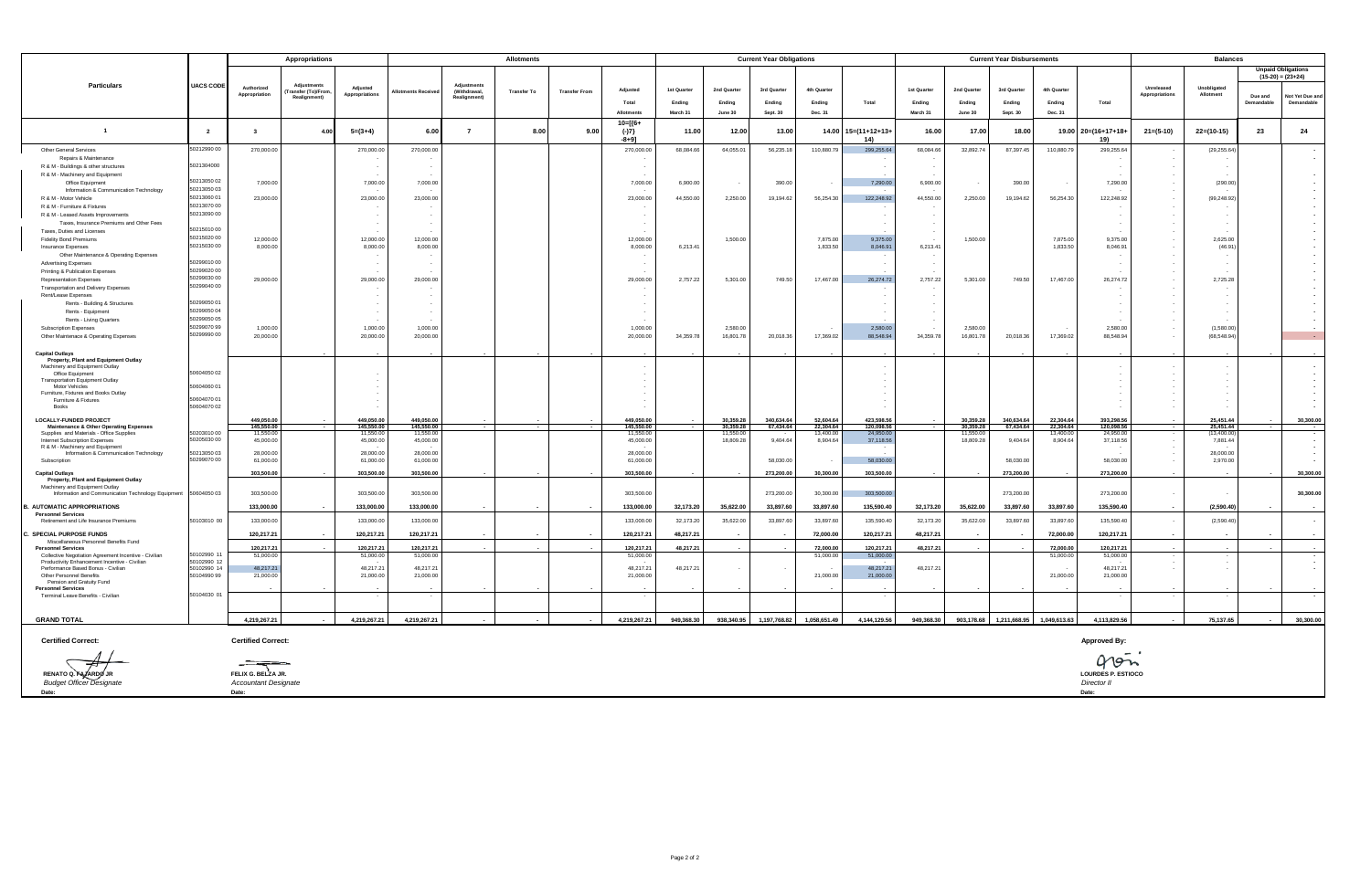|                                                                                     |                            | <b>Appropriations</b>       |                   |                            |                          | <b>Current Year Obligations</b> |                    |                      |                        |             |                       |              | <b>Current Year Disbursements</b> |                        | <b>Balances</b> |                        |                         |                       |                           |                              |                          |            |                                                      |
|-------------------------------------------------------------------------------------|----------------------------|-----------------------------|-------------------|----------------------------|--------------------------|---------------------------------|--------------------|----------------------|------------------------|-------------|-----------------------|--------------|-----------------------------------|------------------------|-----------------|------------------------|-------------------------|-----------------------|---------------------------|------------------------------|--------------------------|------------|------------------------------------------------------|
|                                                                                     |                            |                             |                   |                            |                          |                                 |                    |                      |                        |             |                       |              |                                   |                        |                 |                        |                         |                       |                           |                              |                          |            | <b>Unpaid Obligations</b>                            |
| <b>Particulars</b>                                                                  | <b>UACS CODE</b>           |                             | Adjustments       |                            |                          | Adiustments                     |                    |                      |                        |             |                       |              |                                   |                        |                 |                        |                         |                       |                           |                              |                          |            | $(15-20) = (23+24)$                                  |
|                                                                                     |                            | Authorized<br>Appropriation | ransfer (To)/Fron | Adjusted<br>Appropriations | lotments Receive         | (Withdrawal,                    | <b>Transfer To</b> | <b>Transfer From</b> | Adjusted               | 1st Quarter | 2nd Quarter           | 3rd Quarter  | 4th Quarter                       |                        | 1st Quarter     | 2nd Quarter            | 3rd Quarter             | 4th Quarter           |                           | Unreleased<br>Appropriations | Unobligated<br>Allotment | Due and    | Not Yet Due and                                      |
|                                                                                     |                            |                             | Realignment)      |                            |                          | Realignment)                    |                    |                      | Total                  | Endina      | Endina                | Ending       | Ending                            | Total                  | Ending          | Ending                 | Ending                  | Endina                | Total                     |                              |                          | Demandable | Demandable                                           |
|                                                                                     |                            |                             |                   |                            |                          |                                 |                    |                      | Allotment              | March 31    | June 30               | Sept. 30     | Dec. 31                           |                        | March 31        | June 30                | Sept. 30                | Dec. 31               |                           |                              |                          |            |                                                      |
| $\overline{1}$                                                                      | $\overline{2}$             | $\mathbf{R}$                | 4.00              | $5=(3+4)$                  | 6.00                     | $\overline{7}$                  | 8.00               | 9.00                 | $10 = [\{6+$<br>$(-)7$ | 11.00       | 12.00                 | 13.00        | 14.00                             | $15=(11+12+13+$        | 16.00           | 17.00                  | 18.00                   | 19.00                 | $20=(16+17+18+$           | $21 = (5-10)$                | $22=(10-15)$             | 23         | 24                                                   |
|                                                                                     |                            |                             |                   |                            |                          |                                 |                    |                      | $-8+91$                |             |                       |              |                                   | 14)                    |                 |                        |                         |                       | 19)                       |                              |                          |            |                                                      |
| Other General Services<br>Repairs & Maintenance                                     | 50212990 00                | 270,000.00                  |                   | 270,000.00                 | 270,000.00               |                                 |                    |                      | 270,000.00             | 68,084.66   | 64,055.01             | 56,235.18    | 110,880.79                        | 299,255.64             | 68,084.66       | 32,892.74              | 87,397.45               | 110,880.79            | 299,255.64                |                              | (29, 255.64)             |            | $\overline{\phantom{a}}$<br>$\overline{\phantom{a}}$ |
| R & M - Buildings & other structures                                                | 5021304000                 |                             |                   |                            |                          |                                 |                    |                      |                        |             |                       |              |                                   |                        |                 |                        |                         |                       |                           |                              |                          |            |                                                      |
| R & M - Machinery and Equipment                                                     |                            |                             |                   |                            |                          |                                 |                    |                      |                        |             |                       |              |                                   |                        |                 |                        |                         |                       |                           | $\sim$                       |                          |            | $\overline{\phantom{a}}$                             |
| Office Equipment                                                                    | 50213050 02                | 7,000.00                    |                   | 7,000.00                   | 7,000.00                 |                                 |                    |                      | 7,000.00               | 6,900.00    |                       | 390.00       | $\overline{\phantom{a}}$          | 7,290.00               | 6,900.00        |                        | 390.00                  |                       | 7,290.00                  | $\sim$                       | (290.00)                 |            |                                                      |
| Information & Communication Technology                                              | 50213050 03<br>50213060 01 |                             |                   |                            |                          |                                 |                    |                      |                        |             |                       |              |                                   |                        |                 |                        |                         |                       |                           | $\sim$                       |                          |            |                                                      |
| R & M - Motor Vehicle<br>R & M - Furniture & Fixtures                               | 50213070 00                | 23,000.00                   |                   | 23,000.00                  | 23,000.00                |                                 |                    |                      | 23,000.00              | 44,550.00   | 2,250.00              | 19,194.62    | 56,254.30                         | 122,248.92             | 44,550.00       | 2,250.00               | 19,194.62               | 56,254.30             | 122,248.92                | $\sim$<br>$\sim$             | (99, 248.92)             |            |                                                      |
| R & M - Leased Assets Improvements                                                  | 50213090 00                |                             |                   | $\sim$                     | $\sim$                   |                                 |                    |                      |                        |             |                       |              |                                   | $\sim$                 | $\sim$          |                        |                         |                       |                           | $\sim$                       | ٠.                       |            |                                                      |
| Taxes, Insurance Premiums and Other Fees                                            |                            |                             |                   |                            | $\overline{\phantom{a}}$ |                                 |                    |                      |                        |             |                       |              |                                   |                        |                 |                        |                         |                       |                           | $\sim$                       |                          |            |                                                      |
| Taxes, Duties and Licenses                                                          | 5021501000                 |                             |                   |                            |                          |                                 |                    |                      |                        |             |                       |              |                                   |                        |                 |                        |                         |                       |                           |                              |                          |            |                                                      |
| <b>Fidelity Bond Premiums</b>                                                       | 50215020 00<br>50215030 00 | 12,000.00                   |                   | 12.000.00                  | 12,000.00                |                                 |                    |                      | 12,000.00              |             | 1,500.00              |              | 7,875.00                          | 9.375.00               |                 | 1,500.00               |                         | 7875.00               | 9.375.00                  | $\sim$                       | 2,625.00                 |            |                                                      |
| Insurance Expenses<br>Other Maintenance & Operating Expenses                        |                            | 8,000.00                    |                   | 8,000.00                   | 8,000.00                 |                                 |                    |                      | 8,000.00               | 6,213.41    |                       |              | 1,833.50                          | 8,046.91               | 6,213.41        |                        |                         | 1,833.50              | 8,046.91                  | $\sim$<br>$\sim$             | (46.91)                  |            |                                                      |
| <b>Advertising Expenses</b>                                                         | 5029901000                 |                             |                   |                            |                          |                                 |                    |                      |                        |             |                       |              |                                   |                        |                 |                        |                         |                       |                           | $\sim$                       |                          |            |                                                      |
| Printing & Publication Expenses                                                     | 50299020 00                |                             |                   |                            |                          |                                 |                    |                      |                        |             |                       |              |                                   |                        |                 |                        |                         |                       |                           | $\overline{\phantom{a}}$     |                          |            |                                                      |
| <b>Representation Expenses</b>                                                      | 50299030 00                | 29,000.00                   |                   | 29,000.00                  | 29,000.00                |                                 |                    |                      | 29,000.00              | 2,757.22    | 5,301.00              | 749.50       | 17,467.00                         | 26,274.72              | 2,757.22        | 5.301.00               | 749.50                  | 17,467.00             | 26,274.72                 | $\sim$                       | 2,725.28                 |            |                                                      |
| Transportation and Delivery Expenses                                                | 50299040 00                |                             |                   |                            |                          |                                 |                    |                      |                        |             |                       |              |                                   |                        |                 |                        |                         |                       |                           |                              |                          |            |                                                      |
| Rent/Lease Expenses                                                                 | 50299050 01                |                             |                   |                            |                          |                                 |                    |                      |                        |             |                       |              |                                   |                        |                 |                        |                         |                       |                           |                              |                          |            |                                                      |
| Rents - Building & Structures<br>Rents - Equipment                                  | 50299050 04                |                             |                   |                            |                          |                                 |                    |                      |                        |             |                       |              |                                   |                        |                 |                        |                         |                       |                           |                              |                          |            |                                                      |
| Rents - Living Quarters                                                             | 50299050.05                |                             |                   |                            |                          |                                 |                    |                      |                        |             |                       |              |                                   |                        |                 |                        |                         |                       |                           |                              |                          |            |                                                      |
| Subscription Expenses                                                               | 50299070 99                | 1,000.00                    |                   | 1,000.00                   | 1,000.00                 |                                 |                    |                      | 1,000.00               |             | 2,580.00              |              |                                   | 2,580.00               |                 | 2,580.00               |                         |                       | 2,580.00                  | $\sim$                       | (1,580.00)               |            |                                                      |
| Other Maintenace & Operating Expenses                                               | 0299990 00                 | 20,000.00                   |                   | 20,000.00                  | 20,000.00                |                                 |                    |                      | 20,000.00              | 34,359.78   | 16,801.78             | 20.018.36    | 17,369.02                         | 88,548.94              | 34,359.78       | 16,801.78              | 20,018.36               | 17,369.02             | 88,548.94                 | $\sim$                       | (68, 548.94)             |            | $\sim$ 10 $\pm$                                      |
| <b>Capital Outlays</b>                                                              |                            |                             |                   |                            |                          |                                 |                    |                      |                        |             |                       |              |                                   |                        |                 |                        |                         |                       |                           |                              |                          |            |                                                      |
| Property, Plant and Equipment Outlay                                                |                            |                             |                   |                            |                          |                                 |                    |                      |                        |             |                       |              |                                   |                        |                 |                        |                         |                       |                           |                              |                          |            |                                                      |
| Machinery and Equipment Outlay                                                      |                            |                             |                   |                            |                          |                                 |                    |                      |                        |             |                       |              |                                   |                        |                 |                        |                         |                       |                           |                              |                          |            |                                                      |
| Office Equipment<br><b>Transportation Equipment Outlay</b>                          | 50604050 02                |                             |                   |                            |                          |                                 |                    |                      |                        |             |                       |              |                                   |                        |                 |                        |                         |                       |                           |                              |                          |            |                                                      |
| Motor Vehicles                                                                      | 50604060 01                |                             |                   |                            |                          |                                 |                    |                      |                        |             |                       |              |                                   |                        |                 |                        |                         |                       |                           |                              |                          |            |                                                      |
| Furniture, Fixtures and Books Outlay<br>Furniture & Fixtures                        | 50604070 01                |                             |                   |                            |                          |                                 |                    |                      |                        |             |                       |              |                                   |                        |                 |                        |                         |                       |                           |                              |                          |            |                                                      |
| Books                                                                               | 50604070 02                |                             |                   |                            |                          |                                 |                    |                      |                        |             |                       |              |                                   |                        |                 |                        |                         |                       |                           |                              |                          |            |                                                      |
| <b>LOCALLY-FUNDED PROJECT</b>                                                       |                            | 449.050.00                  |                   | 449.050.00                 | 449.050.00               |                                 |                    |                      | 449.050.0              |             | 30,359,28             | 340.634.64   | 52,604.6                          | 423,598.56             |                 | 30.359.28              | 340.634.64              | 22.304.64             | 393,298.5                 |                              | 25.451.44                |            | 30,300.00                                            |
| <b>Maintenance &amp; Other Operating Expenses</b>                                   |                            | 145,550.00                  |                   | 145,550.00                 | 145,550.00               |                                 |                    |                      | 145,550.00             |             | 30,359.28             | 67,434.64    | 22,304.64                         | 120,098.56             |                 | 30,359.28              | 67,434.64               | 22,304.64             | 120,098.56                |                              | 25,451.44                |            |                                                      |
| Supplies and Materials - Office Supplies<br>Internet Subscription Expenses          | 50203010 00<br>50205030 00 | 11,550.00<br>45,000.00      |                   | 11,550.00<br>45,000.00     | 11,550.00<br>45,000.00   |                                 |                    |                      | 11,550.00<br>45,000.00 |             | 11,550.0<br>18,809.28 | 9,404.64     | 13,400.00<br>8,904.64             | 24,950.00<br>37,118.56 |                 | 11,550.00<br>18,809.28 | 9,404.64                | 13,400.00<br>8,904.64 | 24,950.00<br>37,118.56    |                              | (13,400.00)<br>7,881.44  |            |                                                      |
| R & M - Machinery and Equipment                                                     |                            |                             |                   |                            |                          |                                 |                    |                      |                        |             |                       |              |                                   |                        |                 |                        |                         |                       |                           |                              |                          |            |                                                      |
| Information & Communication Technology<br>Subscription                              | 5021305003<br>0299070 00   | 28,000.00<br>61,000.00      |                   | 28,000.00<br>61.000.00     | 28,000.00<br>61,000.00   |                                 |                    |                      | 28,000.00<br>61.000.00 |             |                       | 58,030,00    | $\cdot$                           | 58,030.00              |                 |                        | 58,030.00               |                       | 58,030.00                 | $\sim$                       | 28,000.00<br>2.970.00    |            |                                                      |
|                                                                                     |                            | 303,500.00                  |                   | 303,500.00                 | 303,500.00               |                                 |                    |                      | 303,500.00             |             |                       |              | 30.300.00                         | 303,500.00             |                 |                        | 273,200,00              |                       | 273,200.00                |                              |                          |            |                                                      |
| <b>Capital Outlays</b><br>Property, Plant and Equipment Outlay                      |                            |                             |                   |                            |                          |                                 |                    |                      |                        |             |                       | 273,200.00   |                                   |                        |                 |                        |                         |                       |                           |                              |                          |            | 30,300.00                                            |
| Machinery and Equipment Outlay                                                      |                            |                             |                   |                            |                          |                                 |                    |                      |                        |             |                       |              |                                   |                        |                 |                        |                         |                       |                           |                              |                          |            |                                                      |
| Information and Communication Technology Equipment                                  | 50604050 03                | 303,500.00                  |                   | 303,500.00                 | 303,500.00               |                                 |                    |                      | 303,500.00             |             |                       | 273,200.00   | 30,300.00                         | 303,500.00             |                 |                        | 273,200.00              |                       | 273,200.00                | $\sim$                       |                          |            | 30,300.00                                            |
| 3. AUTOMATIC APPROPRIATIONS                                                         |                            | 133,000.00                  |                   | 133,000.00                 | 133,000.00               |                                 |                    |                      | 133,000.00             | 32,173.20   | 35,622.00             | 33,897.60    | 33,897.60                         | 135,590.40             | 32,173.20       | 35,622.00              | 33,897.60               | 33,897.60             | 135,590.40                |                              | (2,590.40)               |            |                                                      |
| <b>Personnel Services</b><br>Retirement and Life Insurance Premiums                 | 50103010 00                | 133,000.00                  |                   | 133,000.00                 | 133,000.00               |                                 |                    |                      | 133,000.00             | 32,173.20   | 35,622.00             | 33,897.60    | 33,897.60                         | 135,590.4              | 32,173.20       | 35,622.00              | 33,897.60               | 33,897.60             | 135,590.40                | $\sim$                       | (2.590.40)               |            | $\sim$                                               |
|                                                                                     |                            |                             |                   |                            |                          |                                 |                    |                      |                        |             |                       |              |                                   |                        |                 |                        |                         |                       |                           |                              |                          |            |                                                      |
| . SPECIAL PURPOSE FUNDS                                                             |                            | 120,217.21                  |                   | 120,217.21                 | 120,217.21               |                                 |                    |                      | 120,217.21             | 48,217.21   |                       |              | 72,000.00                         | 120,217.21             | 48,217.21       |                        |                         | 72,000.00             | 120,217.21                |                              |                          |            |                                                      |
| Miscellaneous Personnel Benefits Fund<br><b>Personnel Services</b>                  |                            | 120.217.21                  |                   | 120.217.21                 | 120.217.21               | $\overline{\phantom{a}}$        |                    |                      | 120,217.21             | 48.217.21   |                       |              | 72,000,00                         | 120.217.21             | 48.217.21       |                        |                         | 72,000.00             | 120.217.21                |                              |                          |            |                                                      |
| Collective Negotiation Agreement Incentive - Civilian                               | 50102990 1:                | 51,000.00                   |                   | 51,000.00                  | 51,000.00                |                                 |                    |                      | 51,000.00              |             |                       |              | 51,000.00                         | 51,000.00              |                 |                        |                         | 51,000.00             | 51,000.00                 |                              |                          |            |                                                      |
| Productivity Enhancement Incentive - Civilian<br>Performance Based Bonus - Civilian | 50102990 12<br>50102990 14 | 48,217.21                   |                   | 48,217.21                  | 48,217.21                |                                 |                    |                      | 48,217.21              | 48,217.21   |                       |              |                                   | 48,217.21              | 48,217.21       |                        |                         |                       | 48,217.21                 |                              |                          |            |                                                      |
| Other Personnel Benefits                                                            | 50104990 99                | 21,000.00                   |                   | 21,000.00                  | 21,000.00                |                                 |                    |                      | 21,000.00              |             |                       |              | 21,000.00                         | 21,000.00              |                 |                        |                         | 21,000.00             | 21,000.00                 |                              |                          |            |                                                      |
| Pension and Gratuity Fund<br><b>Personnel Services</b>                              |                            |                             |                   |                            |                          |                                 |                    |                      |                        |             |                       |              |                                   |                        |                 |                        |                         |                       |                           |                              |                          |            |                                                      |
| Terminal Leave Benefits - Civilian                                                  | 50104030 01                |                             |                   |                            |                          |                                 |                    |                      |                        |             |                       |              |                                   |                        |                 |                        |                         |                       |                           |                              |                          |            |                                                      |
|                                                                                     |                            |                             |                   |                            |                          |                                 |                    |                      |                        |             |                       |              |                                   |                        |                 |                        |                         |                       |                           |                              |                          |            |                                                      |
| <b>GRAND TOTAL</b>                                                                  |                            | 4,219,267.21                |                   | 4,219,267.21               | 4,219,267.21             | $\sim$                          |                    |                      | 4,219,267.21           | 949,368.30  | 938,340.95            | 1,197,768.82 | 1,058,651.49                      | 4,144,129.56           | 949,368.30      |                        | 903,178.68 1,211,668.95 | 1,049,613.63          | 4,113,829.56              |                              | 75,137.65                |            | 30,300.00                                            |
| <b>Certified Correct:</b>                                                           |                            | <b>Certified Correct:</b>   |                   |                            |                          |                                 |                    |                      |                        |             |                       |              |                                   |                        |                 |                        |                         |                       | <b>Approved By:</b>       |                              |                          |            |                                                      |
|                                                                                     |                            |                             |                   |                            |                          |                                 |                    |                      |                        |             |                       |              |                                   |                        |                 |                        |                         |                       | 40m                       |                              |                          |            |                                                      |
| RENATO Q. FA ARDO                                                                   |                            | FELIX G. BELZA JR.          |                   |                            |                          |                                 |                    |                      |                        |             |                       |              |                                   |                        |                 |                        |                         |                       | <b>LOURDES P. ESTIOCO</b> |                              |                          |            |                                                      |
| <b>Budget Officer Designate</b>                                                     |                            | <b>Accountant Designate</b> |                   |                            |                          |                                 |                    |                      |                        |             |                       |              |                                   |                        |                 |                        |                         |                       | Director II               |                              |                          |            |                                                      |
| Date:                                                                               |                            | Date:                       |                   |                            |                          |                                 |                    |                      |                        |             |                       |              |                                   |                        |                 |                        |                         |                       | Date:                     |                              |                          |            |                                                      |